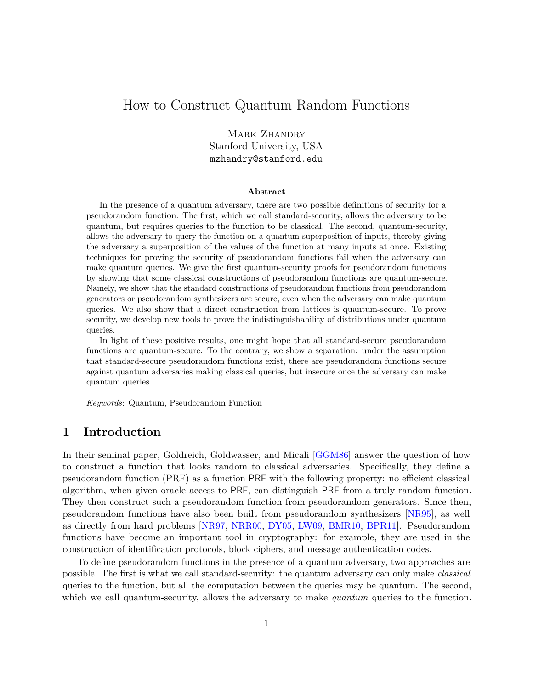# How to Construct Quantum Random Functions

MARK ZHANDRY Stanford University, USA mzhandry@stanford.edu

#### **Abstract**

In the presence of a quantum adversary, there are two possible definitions of security for a pseudorandom function. The first, which we call standard-security, allows the adversary to be quantum, but requires queries to the function to be classical. The second, quantum-security, allows the adversary to query the function on a quantum superposition of inputs, thereby giving the adversary a superposition of the values of the function at many inputs at once. Existing techniques for proving the security of pseudorandom functions fail when the adversary can make quantum queries. We give the first quantum-security proofs for pseudorandom functions by showing that some classical constructions of pseudorandom functions are quantum-secure. Namely, we show that the standard constructions of pseudorandom functions from pseudorandom generators or pseudorandom synthesizers are secure, even when the adversary can make quantum queries. We also show that a direct construction from lattices is quantum-secure. To prove security, we develop new tools to prove the indistinguishability of distributions under quantum queries.

In light of these positive results, one might hope that all standard-secure pseudorandom functions are quantum-secure. To the contrary, we show a separation: under the assumption that standard-secure pseudorandom functions exist, there are pseudorandom functions secure against quantum adversaries making classical queries, but insecure once the adversary can make quantum queries.

*Keywords*: Quantum, Pseudorandom Function

### **1 Introduction**

In their seminal paper, Goldreich, Goldwasser, and Micali [\[GGM86\]](#page-28-0) answer the question of how to construct a function that looks random to classical adversaries. Specifically, they define a pseudorandom function (PRF) as a function PRF with the following property: no efficient classical algorithm, when given oracle access to PRF, can distinguish PRF from a truly random function. They then construct such a pseudorandom function from pseudorandom generators. Since then, pseudorandom functions have also been built from pseudorandom synthesizers [\[NR95\]](#page-28-1), as well as directly from hard problems [\[NR97,](#page-28-2) [NRR00,](#page-28-3) [DY05,](#page-28-4) [LW09,](#page-28-5) [BMR10,](#page-28-6) [BPR11\]](#page-28-7). Pseudorandom functions have become an important tool in cryptography: for example, they are used in the construction of identification protocols, block ciphers, and message authentication codes.

To define pseudorandom functions in the presence of a quantum adversary, two approaches are possible. The first is what we call standard-security: the quantum adversary can only make *classical* queries to the function, but all the computation between the queries may be quantum. The second, which we call quantum-security, allows the adversary to make *quantum* queries to the function.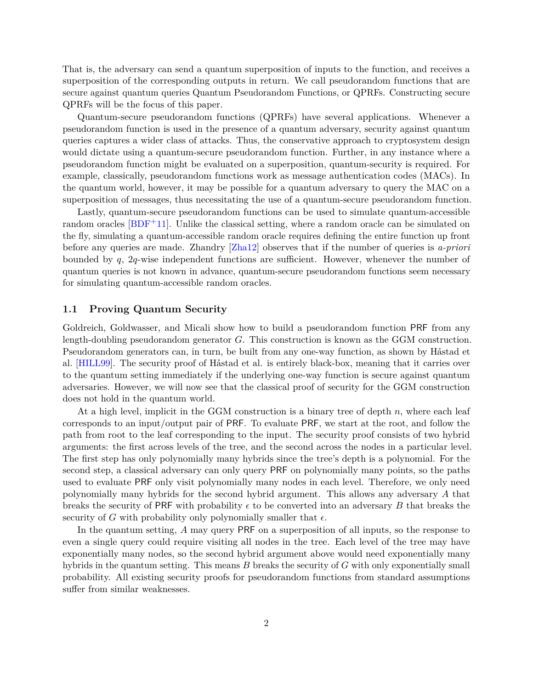That is, the adversary can send a quantum superposition of inputs to the function, and receives a superposition of the corresponding outputs in return. We call pseudorandom functions that are secure against quantum queries Quantum Pseudorandom Functions, or QPRFs. Constructing secure QPRFs will be the focus of this paper.

Quantum-secure pseudorandom functions (QPRFs) have several applications. Whenever a pseudorandom function is used in the presence of a quantum adversary, security against quantum queries captures a wider class of attacks. Thus, the conservative approach to cryptosystem design would dictate using a quantum-secure pseudorandom function. Further, in any instance where a pseudorandom function might be evaluated on a superposition, quantum-security is required. For example, classically, pseudorandom functions work as message authentication codes (MACs). In the quantum world, however, it may be possible for a quantum adversary to query the MAC on a superposition of messages, thus necessitating the use of a quantum-secure pseudorandom function.

Lastly, quantum-secure pseudorandom functions can be used to simulate quantum-accessible random oracles  $[BDF+11]$ . Unlike the classical setting, where a random oracle can be simulated on the fly, simulating a quantum-accessible random oracle requires defining the entire function up front before any queries are made. Zhandry [\[Zha12\]](#page-28-8) observes that if the number of queries is *a-priori* bounded by *q*, 2*q*-wise independent functions are sufficient. However, whenever the number of quantum queries is not known in advance, quantum-secure pseudorandom functions seem necessary for simulating quantum-accessible random oracles.

#### **1.1 Proving Quantum Security**

Goldreich, Goldwasser, and Micali show how to build a pseudorandom function PRF from any length-doubling pseudorandom generator *G*. This construction is known as the GGM construction. Pseudorandom generators can, in turn, be built from any one-way function, as shown by Håstad et al. [\[HILL99\]](#page-28-9). The security proof of Håstad et al. is entirely black-box, meaning that it carries over to the quantum setting immediately if the underlying one-way function is secure against quantum adversaries. However, we will now see that the classical proof of security for the GGM construction does not hold in the quantum world.

At a high level, implicit in the GGM construction is a binary tree of depth *n*, where each leaf corresponds to an input/output pair of PRF. To evaluate PRF, we start at the root, and follow the path from root to the leaf corresponding to the input. The security proof consists of two hybrid arguments: the first across levels of the tree, and the second across the nodes in a particular level. The first step has only polynomially many hybrids since the tree's depth is a polynomial. For the second step, a classical adversary can only query PRF on polynomially many points, so the paths used to evaluate PRF only visit polynomially many nodes in each level. Therefore, we only need polynomially many hybrids for the second hybrid argument. This allows any adversary *A* that breaks the security of PRF with probability  $\epsilon$  to be converted into an adversary *B* that breaks the security of G with probability only polynomially smaller that  $\epsilon$ .

In the quantum setting, *A* may query PRF on a superposition of all inputs, so the response to even a single query could require visiting all nodes in the tree. Each level of the tree may have exponentially many nodes, so the second hybrid argument above would need exponentially many hybrids in the quantum setting. This means *B* breaks the security of *G* with only exponentially small probability. All existing security proofs for pseudorandom functions from standard assumptions suffer from similar weaknesses.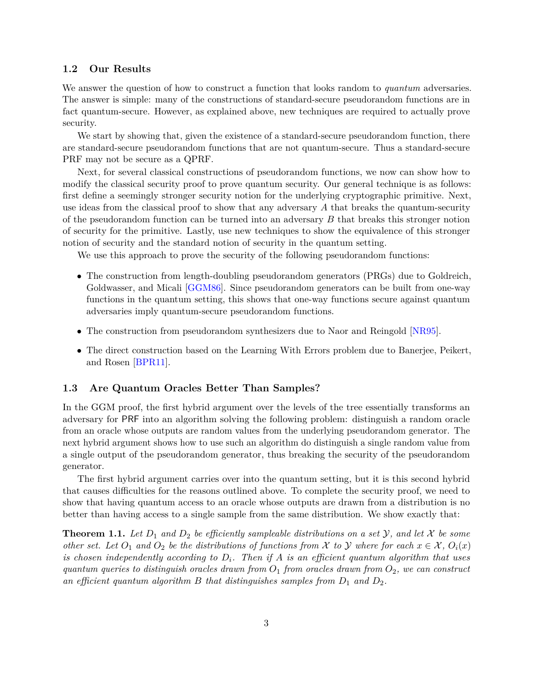#### **1.2 Our Results**

We answer the question of how to construct a function that looks random to *quantum* adversaries. The answer is simple: many of the constructions of standard-secure pseudorandom functions are in fact quantum-secure. However, as explained above, new techniques are required to actually prove security.

We start by showing that, given the existence of a standard-secure pseudorandom function, there are standard-secure pseudorandom functions that are not quantum-secure. Thus a standard-secure PRF may not be secure as a QPRF.

Next, for several classical constructions of pseudorandom functions, we now can show how to modify the classical security proof to prove quantum security. Our general technique is as follows: first define a seemingly stronger security notion for the underlying cryptographic primitive. Next, use ideas from the classical proof to show that any adversary *A* that breaks the quantum-security of the pseudorandom function can be turned into an adversary *B* that breaks this stronger notion of security for the primitive. Lastly, use new techniques to show the equivalence of this stronger notion of security and the standard notion of security in the quantum setting.

We use this approach to prove the security of the following pseudorandom functions:

- The construction from length-doubling pseudorandom generators (PRGs) due to Goldreich, Goldwasser, and Micali [\[GGM86\]](#page-28-0). Since pseudorandom generators can be built from one-way functions in the quantum setting, this shows that one-way functions secure against quantum adversaries imply quantum-secure pseudorandom functions.
- The construction from pseudorandom synthesizers due to Naor and Reingold [\[NR95\]](#page-28-1).
- The direct construction based on the Learning With Errors problem due to Banerjee, Peikert, and Rosen [\[BPR11\]](#page-28-7).

#### **1.3 Are Quantum Oracles Better Than Samples?**

In the GGM proof, the first hybrid argument over the levels of the tree essentially transforms an adversary for PRF into an algorithm solving the following problem: distinguish a random oracle from an oracle whose outputs are random values from the underlying pseudorandom generator. The next hybrid argument shows how to use such an algorithm do distinguish a single random value from a single output of the pseudorandom generator, thus breaking the security of the pseudorandom generator.

The first hybrid argument carries over into the quantum setting, but it is this second hybrid that causes difficulties for the reasons outlined above. To complete the security proof, we need to show that having quantum access to an oracle whose outputs are drawn from a distribution is no better than having access to a single sample from the same distribution. We show exactly that:

<span id="page-2-0"></span>**Theorem 1.1.** Let  $D_1$  and  $D_2$  be efficiently sampleable distributions on a set  $Y$ , and let  $X$  be some *other set.* Let  $O_1$  and  $O_2$  be the distributions of functions from X to Y where for each  $x \in \mathcal{X}$ ,  $O_i(x)$ *is chosen independently according to Di. Then if A is an efficient quantum algorithm that uses quantum queries to distinguish oracles drawn from O*<sup>1</sup> *from oracles drawn from O*2*, we can construct* an efficient quantum algorithm  $B$  that distinguishes samples from  $D_1$  and  $D_2$ .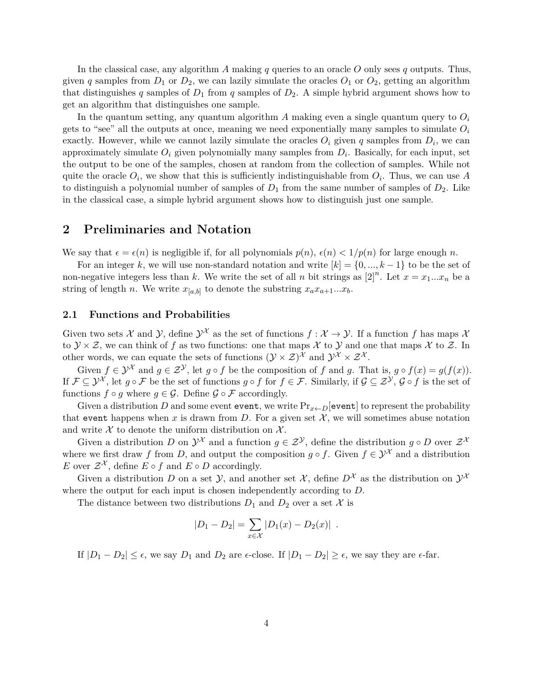In the classical case, any algorithm *A* making *q* queries to an oracle *O* only sees *q* outputs. Thus, given *q* samples from  $D_1$  or  $D_2$ , we can lazily simulate the oracles  $O_1$  or  $O_2$ , getting an algorithm that distinguishes q samples of  $D_1$  from q samples of  $D_2$ . A simple hybrid argument shows how to get an algorithm that distinguishes one sample.

In the quantum setting, any quantum algorithm *A* making even a single quantum query to  $O_i$ gets to "see" all the outputs at once, meaning we need exponentially many samples to simulate  $O_i$ exactly. However, while we cannot lazily simulate the oracles  $O_i$  given  $q$  samples from  $D_i$ , we can approximately simulate  $O_i$  given polynomially many samples from  $D_i$ . Basically, for each input, set the output to be one of the samples, chosen at random from the collection of samples. While not quite the oracle  $O_i$ , we show that this is sufficiently indistinguishable from  $O_i$ . Thus, we can use  $A$ to distinguish a polynomial number of samples of  $D_1$  from the same number of samples of  $D_2$ . Like in the classical case, a simple hybrid argument shows how to distinguish just one sample.

# **2 Preliminaries and Notation**

We say that  $\epsilon = \epsilon(n)$  is negligible if, for all polynomials  $p(n)$ ,  $\epsilon(n) < 1/p(n)$  for large enough *n*.

For an integer k, we will use non-standard notation and write  $[k] = \{0, ..., k-1\}$  to be the set of non-negative integers less than *k*. We write the set of all *n* bit strings as  $[2]^n$ . Let  $x = x_1...x_n$  be a string of length *n*. We write  $x_{[a,b]}$  to denote the substring  $x_a x_{a+1}...x_b$ .

#### **2.1 Functions and Probabilities**

Given two sets  $\mathcal X$  and  $\mathcal Y$ , define  $\mathcal Y^{\mathcal X}$  as the set of functions  $f: \mathcal X \to \mathcal Y$ . If a function f has maps  $\mathcal X$ to  $\mathcal{Y} \times \mathcal{Z}$ , we can think of f as two functions: one that maps X to Y and one that maps X to Z. In other words, we can equate the sets of functions  $(\mathcal{Y} \times \mathcal{Z})^{\mathcal{X}}$  and  $\mathcal{Y}^{\mathcal{X}} \times \mathcal{Z}^{\mathcal{X}}$ .

Given  $f \in \mathcal{Y}^{\mathcal{X}}$  and  $g \in \mathcal{Z}^{\mathcal{Y}}$ , let  $g \circ f$  be the composition of  $f$  and  $g$ . That is,  $g \circ f(x) = g(f(x))$ . If  $\mathcal{F} \subseteq \mathcal{Y}^{\mathcal{X}}$ , let  $g \circ \mathcal{F}$  be the set of functions  $g \circ f$  for  $f \in \mathcal{F}$ . Similarly, if  $\mathcal{G} \subseteq \mathcal{Z}^{\mathcal{Y}}$ ,  $\mathcal{G} \circ f$  is the set of functions  $f \circ g$  where  $g \in \mathcal{G}$ . Define  $\mathcal{G} \circ \mathcal{F}$  accordingly.

Given a distribution *D* and some event event, we write  $Pr_{x \leftarrow D}$ [event] to represent the probability that event happens when x is drawn from  $D$ . For a given set  $\mathcal{X}$ , we will sometimes abuse notation and write  $\mathcal X$  to denote the uniform distribution on  $\mathcal X$ .

Given a distribution *D* on  $\mathcal{Y}^{\mathcal{X}}$  and a function  $g \in \mathcal{Z}^{\mathcal{Y}}$ , define the distribution  $g \circ D$  over  $\mathcal{Z}^{\mathcal{X}}$ where we first draw *f* from *D*, and output the composition  $g \circ f$ . Given  $f \in \mathcal{Y}^{\mathcal{X}}$  and a distribution *E* over  $\mathcal{Z}^{\mathcal{X}}$ , define  $E \circ f$  and  $E \circ D$  accordingly.

Given a distribution *D* on a set *Y*, and another set *X*, define  $D^{\mathcal{X}}$  as the distribution on  $\mathcal{Y}^{\mathcal{X}}$ where the output for each input is chosen independently according to *D*.

The distance between two distributions  $D_1$  and  $D_2$  over a set X is

$$
|D_1 - D_2| = \sum_{x \in \mathcal{X}} |D_1(x) - D_2(x)|.
$$

If  $|D_1 - D_2| \leq \epsilon$ , we say  $D_1$  and  $D_2$  are  $\epsilon$ -close. If  $|D_1 - D_2| \geq \epsilon$ , we say they are  $\epsilon$ -far.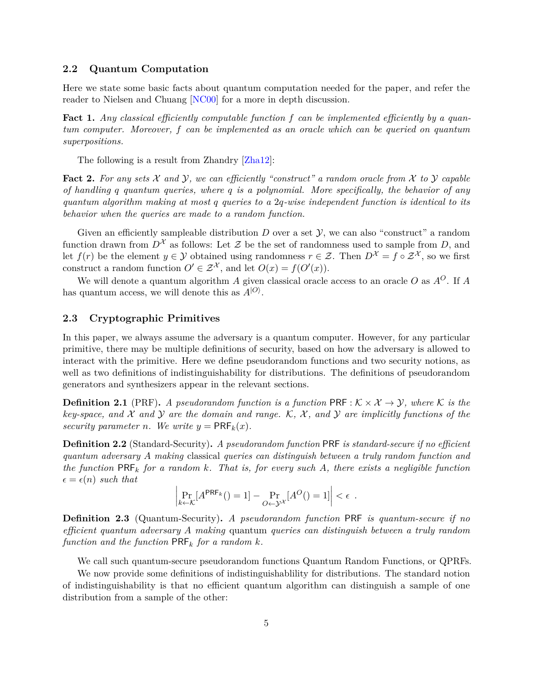#### **2.2 Quantum Computation**

Here we state some basic facts about quantum computation needed for the paper, and refer the reader to Nielsen and Chuang [\[NC00\]](#page-28-10) for a more in depth discussion.

**Fact 1.** *Any classical efficiently computable function f can be implemented efficiently by a quantum computer. Moreover, f can be implemented as an oracle which can be queried on quantum superpositions.*

The following is a result from Zhandry [\[Zha12\]](#page-28-8):

**Fact 2.** For any sets  $\mathcal X$  and  $\mathcal Y$ , we can efficiently "construct" a random oracle from  $\mathcal X$  to  $\mathcal Y$  capable *of handling q quantum queries, where q is a polynomial. More specifically, the behavior of any quantum algorithm making at most q queries to a* 2*q-wise independent function is identical to its behavior when the queries are made to a random function.*

Given an efficiently sampleable distribution  $D$  over a set  $\mathcal{Y}$ , we can also "construct" a random function drawn from  $D^{\mathcal{X}}$  as follows: Let  $\mathcal Z$  be the set of randomness used to sample from *D*, and let  $f(r)$  be the element  $y \in Y$  obtained using randomness  $r \in \mathcal{Z}$ . Then  $D^{\mathcal{X}} = f \circ \mathcal{Z}^{\mathcal{X}}$ , so we first construct a random function  $O' \in \mathcal{Z}^{\mathcal{X}}$ , and let  $O(x) = f(O'(x))$ .

We will denote a quantum algorithm *A* given classical oracle access to an oracle *O* as *AO*. If *A* has quantum access, we will denote this as  $A^{(O)}$ .

#### **2.3 Cryptographic Primitives**

In this paper, we always assume the adversary is a quantum computer. However, for any particular primitive, there may be multiple definitions of security, based on how the adversary is allowed to interact with the primitive. Here we define pseudorandom functions and two security notions, as well as two definitions of indistinguishability for distributions. The definitions of pseudorandom generators and synthesizers appear in the relevant sections.

**Definition 2.1** (PRF). A pseudorandom function is a function PRF :  $K \times \mathcal{X} \rightarrow \mathcal{Y}$ , where K is the *key-space, and*  $X$  *and*  $Y$  *are the domain and range.*  $K$ ,  $X$ , and  $Y$  *are implicitly functions of the security parameter n.* We write  $y = \text{PRF}_k(x)$ *.* 

**Definition 2.2** (Standard-Security)**.** *A pseudorandom function* PRF *is standard-secure if no efficient quantum adversary A making* classical *queries can distinguish between a truly random function and the function* PRF*<sup>k</sup> for a random k. That is, for every such A, there exists a negligible function*  $\epsilon = \epsilon(n)$  *such that* 

$$
\left| \Pr_{k \leftarrow \mathcal{K}} [A^{\mathsf{PRF}_k}(1) = 1] - \Pr_{O \leftarrow \mathcal{Y}^{\mathcal{X}}}[A^O(1) = 1] \right| < \epsilon.
$$

**Definition 2.3** (Quantum-Security)**.** *A pseudorandom function* PRF *is quantum-secure if no efficient quantum adversary A making* quantum *queries can distinguish between a truly random function and the function*  $\text{PRF}_k$  *for a random k.* 

We call such quantum-secure pseudorandom functions Quantum Random Functions, or QPRFs.

We now provide some definitions of indistinguishablility for distributions. The standard notion of indistinguishability is that no efficient quantum algorithm can distinguish a sample of one distribution from a sample of the other: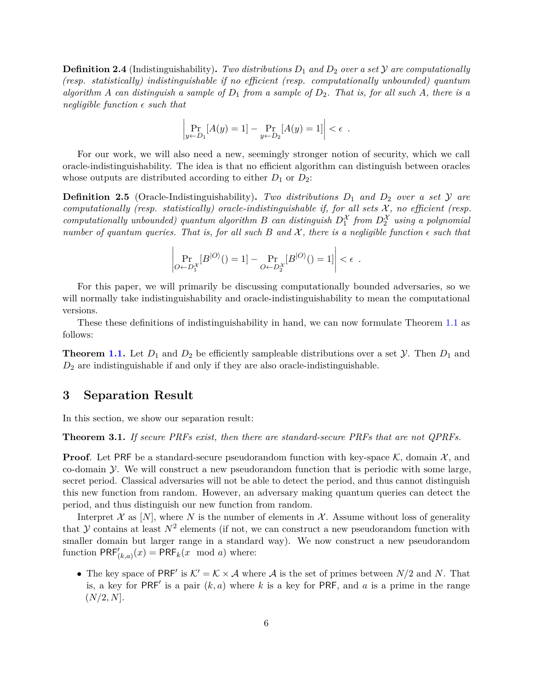**Definition 2.4** (Indistinguishability)**.** *Two distributions D*<sup>1</sup> *and D*<sup>2</sup> *over a set* Y *are computationally (resp. statistically) indistinguishable if no efficient (resp. computationally unbounded) quantum algorithm A* can distinguish a sample of  $D_1$  from a sample of  $D_2$ . That is, for all such A, there is a *negligible function*  $\epsilon$  *such that* 

$$
\left| \Pr_{y \leftarrow D_1} [A(y) = 1] - \Pr_{y \leftarrow D_2} [A(y) = 1] \right| < \epsilon \; .
$$

For our work, we will also need a new, seemingly stronger notion of security, which we call oracle-indistinguishability. The idea is that no efficient algorithm can distinguish between oracles whose outputs are distributed according to either  $D_1$  or  $D_2$ :

**Definition 2.5** (Oracle-Indistinguishability). Two distributions  $D_1$  and  $D_2$  over a set Y are *computationally (resp. statistically) oracle-indistinguishable if, for all sets*  $\mathcal{X}$ *, no efficient (resp.*  $\mathcal{L}$  *computationally unbounded)* quantum algorithm  $B$  *can distinguish*  $D_1^{\mathcal{X}}$  *from*  $D_2^{\mathcal{X}}$  *using a polynomial number of quantum queries. That is, for all such B* and  $\mathcal{X}$ , there is a negligible function  $\epsilon$  such that

$$
\left| \Pr_{O \leftarrow D_1^{\mathcal{X}}}[B^{|O\rangle}() = 1] - \Pr_{O \leftarrow D_2^{\mathcal{X}}}[B^{|O\rangle}() = 1] \right| < \epsilon.
$$

For this paper, we will primarily be discussing computationally bounded adversaries, so we will normally take indistinguishability and oracle-indistinguishability to mean the computational versions.

These these definitions of indistinguishability in hand, we can now formulate Theorem [1.1](#page-2-0) as follows:

**Theorem [1.1.](#page-2-0)** Let  $D_1$  and  $D_2$  be efficiently sampleable distributions over a set  $\mathcal{Y}$ . Then  $D_1$  and *D*<sup>2</sup> are indistinguishable if and only if they are also oracle-indistinguishable.

### <span id="page-5-0"></span>**3 Separation Result**

<span id="page-5-1"></span>In this section, we show our separation result:

**Theorem 3.1.** *If secure PRFs exist, then there are standard-secure PRFs that are not QPRFs.*

**Proof**. Let PRF be a standard-secure pseudorandom function with key-space  $\mathcal{K}$ , domain  $\mathcal{X}$ , and co-domain  $\mathcal Y$ . We will construct a new pseudorandom function that is periodic with some large, secret period. Classical adversaries will not be able to detect the period, and thus cannot distinguish this new function from random. However, an adversary making quantum queries can detect the period, and thus distinguish our new function from random.

Interpret  $\mathcal X$  as  $[N]$ , where  $N$  is the number of elements in  $\mathcal X$ . Assume without loss of generality that  $\mathcal Y$  contains at least  $N^2$  elements (if not, we can construct a new pseudorandom function with smaller domain but larger range in a standard way). We now construct a new pseudorandom function  $\mathsf{PRF}'_{(k,a)}(x) = \mathsf{PRF}_k(x \mod a)$  where:

• The key space of PRF' is  $K' = K \times A$  where A is the set of primes between *N/*2 and *N*. That is, a key for  $PRF'$  is a pair  $(k, a)$  where  $k$  is a key for PRF, and  $a$  is a prime in the range (*N/*2*, N*].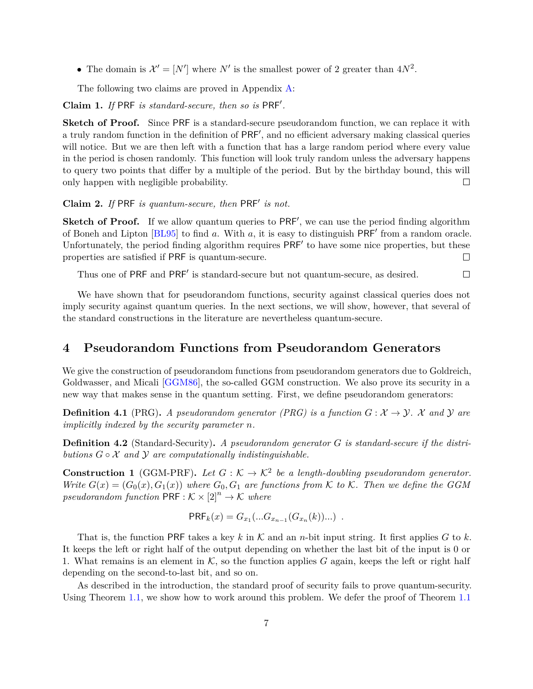• The domain is  $\mathcal{X}' = [N']$  where N' is the smallest power of 2 greater than  $4N^2$ .

The following two claims are proved in Appendix [A:](#page-13-0)

<span id="page-6-1"></span>Claim 1. If PRF is standard-secure, then so is PRF'.

**Sketch of Proof.** Since PRF is a standard-secure pseudorandom function, we can replace it with a truly random function in the definition of PRF', and no efficient adversary making classical queries will notice. But we are then left with a function that has a large random period where every value in the period is chosen randomly. This function will look truly random unless the adversary happens to query two points that differ by a multiple of the period. But by the birthday bound, this will only happen with negligible probability.  $\Box$ 

<span id="page-6-2"></span>**Claim 2.** If PRF is quantum-secure, then PRF' is not.

**Sketch of Proof.** If we allow quantum queries to PRF', we can use the period finding algorithm of Boneh and Lipton [\[BL95\]](#page-27-1) to find *a*. With *a*, it is easy to distinguish PRF' from a random oracle. Unfortunately, the period finding algorithm requires PRF' to have some nice properties, but these properties are satisfied if PRF is quantum-secure.  $\Box$ 

Thus one of PRF and PRF' is standard-secure but not quantum-secure, as desired.  $\Box$ 

We have shown that for pseudorandom functions, security against classical queries does not imply security against quantum queries. In the next sections, we will show, however, that several of the standard constructions in the literature are nevertheless quantum-secure.

### **4 Pseudorandom Functions from Pseudorandom Generators**

We give the construction of pseudorandom functions from pseudorandom generators due to Goldreich, Goldwasser, and Micali [\[GGM86\]](#page-28-0), the so-called GGM construction. We also prove its security in a new way that makes sense in the quantum setting. First, we define pseudorandom generators:

**Definition 4.1** (PRG). A pseudorandom generator (PRG) is a function  $G: \mathcal{X} \to \mathcal{Y}$ . X and Y are *implicitly indexed by the security parameter n.*

**Definition 4.2** (Standard-Security)**.** *A pseudorandom generator G is standard-secure if the distributions*  $G \circ \mathcal{X}$  *and*  $\mathcal{Y}$  *are computationally indistinguishable.* 

<span id="page-6-0"></span>**Construction 1** (GGM-PRF). Let  $G : \mathcal{K} \to \mathcal{K}^2$  be a length-doubling pseudorandom generator. *Write*  $G(x) = (G_0(x), G_1(x))$  *where*  $G_0, G_1$  *are functions from* K *to* K. Then we define the GGM *pseudorandom function* PRF :  $K \times [2]^n \rightarrow K$  *where* 

$$
PRF_k(x) = G_{x_1}(...G_{x_{n-1}}(G_{x_n}(k))...)
$$
.

That is, the function PRF takes a key  $k$  in  $\mathcal K$  and an *n*-bit input string. It first applies  $G$  to  $k$ . It keeps the left or right half of the output depending on whether the last bit of the input is 0 or 1. What remains is an element in  $K$ , so the function applies  $G$  again, keeps the left or right half depending on the second-to-last bit, and so on.

As described in the introduction, the standard proof of security fails to prove quantum-security. Using Theorem [1.1,](#page-2-0) we show how to work around this problem. We defer the proof of Theorem [1.1](#page-2-0)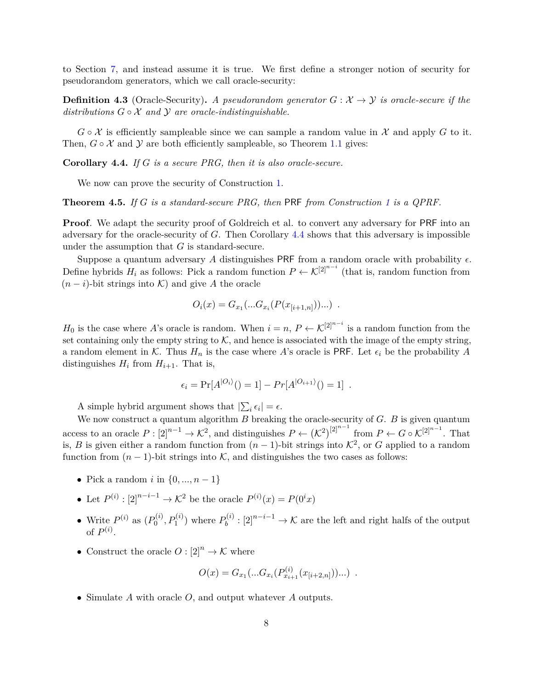to Section [7,](#page-10-0) and instead assume it is true. We first define a stronger notion of security for pseudorandom generators, which we call oracle-security:

**Definition 4.3** (Oracle-Security). A pseudorandom generator  $G: \mathcal{X} \to \mathcal{Y}$  is oracle-secure if the *distributions G* ◦ X *and* Y *are oracle-indistinguishable.*

 $G \circ \mathcal{X}$  is efficiently sampleable since we can sample a random value in  $\mathcal{X}$  and apply *G* to it. Then,  $G \circ \mathcal{X}$  and  $\mathcal{Y}$  are both efficiently sampleable, so Theorem [1.1](#page-2-0) gives:

<span id="page-7-0"></span>**Corollary 4.4.** *If G is a secure PRG, then it is also oracle-secure.*

We now can prove the security of Construction [1.](#page-6-0)

**Theorem 4.5.** *If G is a standard-secure PRG, then* PRF *from Construction [1](#page-6-0) is a QPRF.*

**Proof**. We adapt the security proof of Goldreich et al. to convert any adversary for PRF into an adversary for the oracle-security of *G*. Then Corollary [4.4](#page-7-0) shows that this adversary is impossible under the assumption that *G* is standard-secure.

Suppose a quantum adversary A distinguishes PRF from a random oracle with probability  $\epsilon$ . Define hybrids  $H_i$  as follows: Pick a random function  $P \leftarrow \mathcal{K}^{[2]^{n-i}}$  (that is, random function from  $(n - i)$ -bit strings into  $K$ ) and give *A* the oracle

$$
O_i(x) = G_{x_1}(\dots G_{x_i}(P(x_{[i+1,n]}))\dots) .
$$

*H*<sub>0</sub> is the case where *A*'s oracle is random. When  $i = n, P \leftarrow \mathcal{K}^{[2]^{n-i}}$  is a random function from the set containing only the empty string to  $K$ , and hence is associated with the image of the empty string, a random element in K. Thus  $H_n$  is the case where A's oracle is PRF. Let  $\epsilon_i$  be the probability A distinguishes  $H_i$  from  $H_{i+1}$ . That is,

$$
\epsilon_i = \Pr[A^{|O_i\rangle}() = 1] - \Pr[A^{|O_{i+1}\rangle}() = 1] .
$$

A simple hybrid argument shows that  $|\sum_i \epsilon_i| = \epsilon$ .

We now construct a quantum algorithm *B* breaking the oracle-security of *G*. *B* is given quantum access to an oracle  $P: [2]^{n-1} \to \mathcal{K}^2$ , and distinguishes  $P \leftarrow (\mathcal{K}^2)^{[2]^{n-1}}$  from  $P \leftarrow G \circ \mathcal{K}^{[2]^{n-1}}$ . That is, *B* is given either a random function from  $(n-1)$ -bit strings into  $\mathcal{K}^2$ , or *G* applied to a random function from  $(n-1)$ -bit strings into K, and distinguishes the two cases as follows:

- Pick a random *i* in {0*, ..., n* − 1}
- Let  $P^{(i)} : [2]^{n-i-1} \to \mathcal{K}^2$  be the oracle  $P^{(i)}(x) = P(0^i x)$
- Write  $P^{(i)}$  as  $(P_0^{(i)}$  $P_0^{(i)}$ ,  $P_1^{(i)}$ ) where  $P_b^{(i)}$  $b^{(i)}_b : [2]^{n-i-1} \to \mathcal{K}$  are the left and right halfs of the output of  $P^{(i)}$ .
- Construct the oracle  $O: [2]^n \to \mathcal{K}$  where

$$
O(x) = G_{x_1}(...G_{x_i}(P_{x_{i+1}}^{(i)}(x_{[i+2,n]}))...)
$$
.

• Simulate *A* with oracle *O*, and output whatever *A* outputs.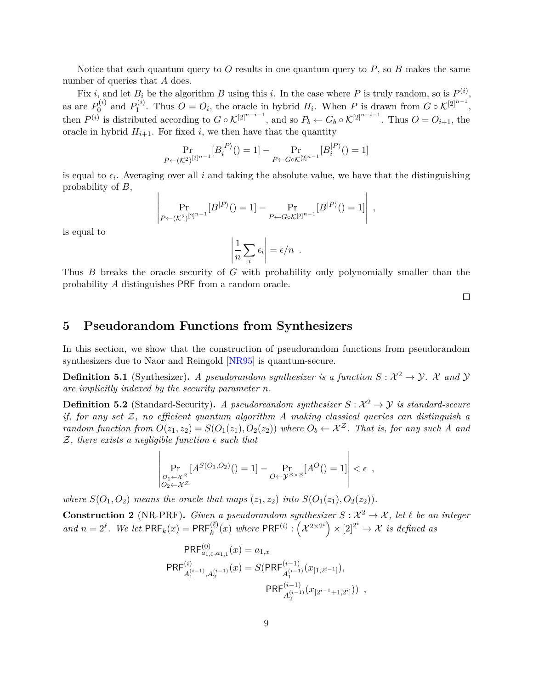Notice that each quantum query to  $O$  results in one quantum query to  $P$ , so  $B$  makes the same number of queries that *A* does.

Fix *i*, and let  $B_i$  be the algorithm *B* using this *i*. In the case where *P* is truly random, so is  $P^{(i)}$ , as are  $P_0^{(i)}$  $P_0^{(i)}$  and  $P_1^{(i)}$  $D_1^{(i)}$ . Thus  $O = O_i$ , the oracle in hybrid  $H_i$ . When  $P$  is drawn from  $G \circ \mathcal{K}^{[2]^{n-1}}$ , then  $P^{(i)}$  is distributed according to  $G \circ \mathcal{K}^{[2]^{n-i-1}}$ , and so  $P_b \leftarrow G_b \circ \mathcal{K}^{[2]^{n-i-1}}$ . Thus  $O = O_{i+1}$ , the oracle in hybrid  $H_{i+1}$ . For fixed *i*, we then have that the quantity

$$
\Pr_{P \leftarrow (\mathcal{K}^2)^{[2]^{n-1}}} [B_i^{|P\rangle}() = 1] - \Pr_{P \leftarrow G \circ \mathcal{K}^{[2]^{n-1}}} [B_i^{|P\rangle}() = 1]
$$

is equal to  $\epsilon_i$ . Averaging over all *i* and taking the absolute value, we have that the distinguishing probability of *B*,

$$
\left| \Pr_{P \leftarrow (\mathcal{K}^2)^{[2]^{n-1}}} [B^{|P\rangle}() = 1] - \Pr_{P \leftarrow G \circ \mathcal{K}^{[2]^{n-1}}} [B^{|P\rangle}() = 1] \right| ,
$$

is equal to

$$
\left|\frac{1}{n}\sum_{i}\epsilon_{i}\right|=\epsilon/n.
$$

Thus *B* breaks the oracle security of *G* with probability only polynomially smaller than the probability *A* distinguishes PRF from a random oracle.

 $\Box$ 

### **5 Pseudorandom Functions from Synthesizers**

In this section, we show that the construction of pseudorandom functions from pseudorandom synthesizers due to Naor and Reingold [\[NR95\]](#page-28-1) is quantum-secure.

**Definition 5.1** (Synthesizer). A pseudorandom synthesizer is a function  $S: \mathcal{X}^2 \to \mathcal{Y}$ . X and  $\mathcal{Y}$ *are implicitly indexed by the security parameter n.*

<span id="page-8-1"></span>**Definition 5.2** (Standard-Security). A pseudoreandom synthesizer  $S: \mathcal{X}^2 \to \mathcal{Y}$  is standard-secure *if, for any set* Z*, no efficient quantum algorithm A making classical queries can distinguish a random function from*  $O(z_1, z_2) = S(O_1(z_1), O_2(z_2))$  *where*  $O_b \leftarrow \mathcal{X}^{\mathcal{Z}}$ . That is, for any such A and  $Z$ , there exists a negligible function  $\epsilon$  such that

$$
\Pr_{\substack{O_1 \leftarrow \mathcal{X}^{\mathcal{Z}} \\ O_2 \leftarrow \mathcal{X}^{\mathcal{Z}}}} \left[ A^{S(O_1, O_2)}() = 1 \right] - \Pr_{O \leftarrow \mathcal{Y}^{\mathcal{Z} \times \mathcal{Z}}} \left[ A^O() = 1 \right] < \epsilon \enspace ,
$$

*where*  $S(O_1, O_2)$  *means the oracle that maps*  $(z_1, z_2)$  *into*  $S(O_1(z_1), O_2(z_2))$ *.* 

 $\overline{\phantom{a}}$  $\overline{\phantom{a}}$  $\overline{\phantom{a}}$  $\overline{\phantom{a}}$  $\overline{\phantom{a}}$  $\overline{\phantom{a}}$  $\overline{\phantom{a}}$ 

<span id="page-8-0"></span>**Construction 2** (NR-PRF). *Given a pseudorandom synthesizer*  $S: \mathcal{X}^2 \to \mathcal{X}$ *, let*  $\ell$  *be an integer and*  $n = 2^{\ell}$ . We let  $\text{PRF}_k(x) = \text{PRF}_k^{(\ell)}(x)$  where  $\text{PRF}^{(i)} : (\mathcal{X}^{2 \times 2^i}) \times [2]^{2^i} \to \mathcal{X}$  is defined as

$$
\begin{aligned} \mathsf{PRF}^{(0)}_{a_{1,0},a_{1,1}}(x) &= a_{1,x} \\ \mathsf{PRF}^{(i)}_{A_1^{(i-1)},A_2^{(i-1)}}(x) &= S(\mathsf{PRF}^{(i-1)}_{A_1^{(i-1)}}(x_{[1,2^{i-1}]}), \\ \mathsf{PRF}^{(i-1)}_{A_2^{(i-1)}}(x_{[2^{i-1}+1,2^i]})) \end{aligned}
$$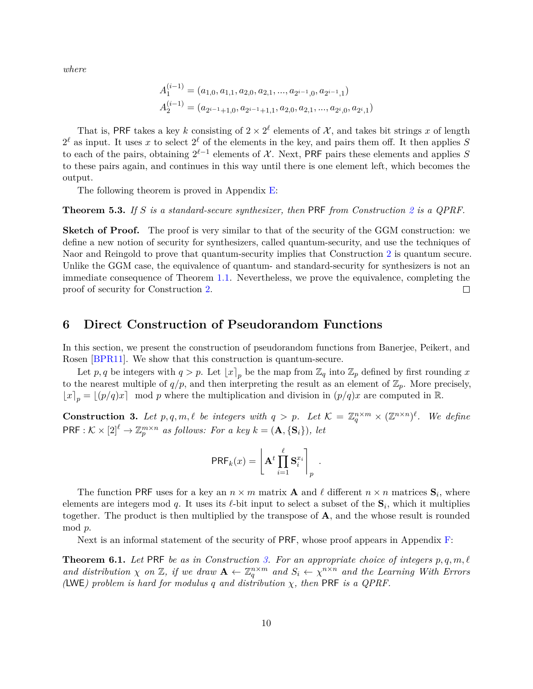*where*

$$
A_1^{(i-1)} = (a_{1,0}, a_{1,1}, a_{2,0}, a_{2,1}, ..., a_{2^{i-1},0}, a_{2^{i-1},1})
$$
  

$$
A_2^{(i-1)} = (a_{2^{i-1}+1,0}, a_{2^{i-1}+1,1}, a_{2,0}, a_{2,1}, ..., a_{2^{i},0}, a_{2^{i},1})
$$

That is, PRF takes a key *k* consisting of  $2 \times 2^{\ell}$  elements of X, and takes bit strings x of length  $2^{\ell}$  as input. It uses *x* to select  $2^{\ell}$  of the elements in the key, and pairs them off. It then applies *S* to each of the pairs, obtaining  $2^{\ell-1}$  elements of X. Next, PRF pairs these elements and applies S to these pairs again, and continues in this way until there is one element left, which becomes the output.

The following theorem is proved in Appendix  $E$ :

<span id="page-9-1"></span>**Theorem 5.3.** *If S is a standard-secure synthesizer, then* PRF *from Construction [2](#page-8-0) is a QPRF.*

**Sketch of Proof.** The proof is very similar to that of the security of the GGM construction: we define a new notion of security for synthesizers, called quantum-security, and use the techniques of Naor and Reingold to prove that quantum-security implies that Construction [2](#page-8-0) is quantum secure. Unlike the GGM case, the equivalence of quantum- and standard-security for synthesizers is not an immediate consequence of Theorem [1.1.](#page-2-0) Nevertheless, we prove the equivalence, completing the proof of security for Construction [2.](#page-8-0)  $\Box$ 

### **6 Direct Construction of Pseudorandom Functions**

In this section, we present the construction of pseudorandom functions from Banerjee, Peikert, and Rosen [\[BPR11\]](#page-28-7). We show that this construction is quantum-secure.

Let *p*, *q* be integers with  $q > p$ . Let  $\lfloor x \rfloor_p$  be the map from  $\mathbb{Z}_q$  into  $\mathbb{Z}_p$  defined by first rounding *x* to the nearest multiple of  $q/p$ , and then interpreting the result as an element of  $\mathbb{Z}_p$ . More precisely,  $\lfloor x \rfloor_p = \lfloor (p/q)x \rfloor$  mod *p* where the multiplication and division in  $\lfloor p/q \rfloor x$  are computed in R.

<span id="page-9-0"></span>**Construction 3.** Let  $p, q, m, \ell$  be integers with  $q > p$ . Let  $\mathcal{K} = \mathbb{Z}_q^{n \times m} \times (\mathbb{Z}^{n \times n})^{\ell}$ . We define  $\mathsf{PRF}: \mathcal{K} \times [2]^{\ell} \to \mathbb{Z}_p^{m \times n}$  as follows: For a key  $k = (\mathbf{A}, \{S_i\})$ , let

$$
\mathsf{PRF}_k(x) = \left[ \mathbf{A}^t \prod_{i=1}^\ell \mathbf{S}_i^{x_i} \right]_p
$$

*.*

The function PRF uses for a key an  $n \times m$  matrix **A** and  $\ell$  different  $n \times n$  matrices  $\mathbf{S}_i$ , where elements are integers mod  $q$ . It uses its  $\ell$ -bit input to select a subset of the  $\mathbf{S}_i$ , which it multiplies together. The product is then multiplied by the transpose of **A**, and the whose result is rounded mod *p*.

Next is an informal statement of the security of PRF, whose proof appears in Appendix [F:](#page-24-0)

<span id="page-9-2"></span>**Theorem 6.1.** Let PRF be as in Construction [3.](#page-9-0) For an appropriate choice of integers  $p, q, m, \ell$ *and distribution*  $\chi$  *on*  $\mathbb{Z}$ *, if we draw*  $\mathbf{A} \leftarrow \mathbb{Z}_q^{n \times m}$  *and*  $S_i \leftarrow \chi^{n \times n}$  *and the Learning With Errors (*LWE*) problem is hard for modulus q and distribution χ, then* PRF *is a QPRF.*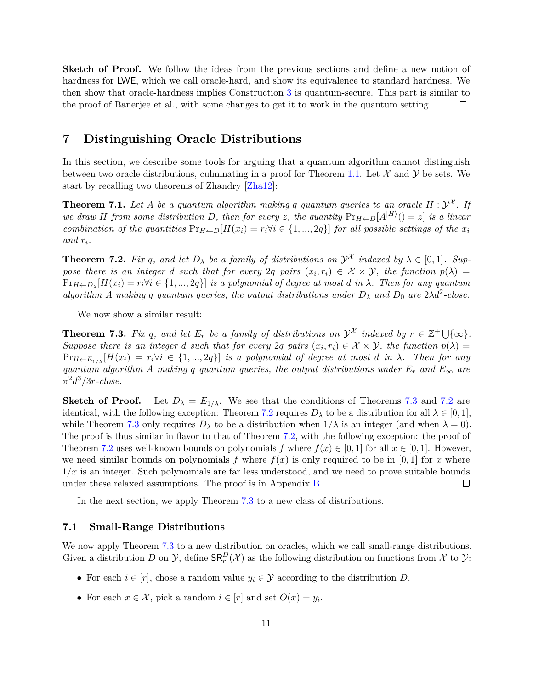**Sketch of Proof.** We follow the ideas from the previous sections and define a new notion of hardness for LWE, which we call oracle-hard, and show its equivalence to standard hardness. We then show that oracle-hardness implies Construction [3](#page-9-0) is quantum-secure. This part is similar to the proof of Banerjee et al., with some changes to get it to work in the quantum setting.  $\Box$ 

# <span id="page-10-0"></span>**7 Distinguishing Oracle Distributions**

In this section, we describe some tools for arguing that a quantum algorithm cannot distinguish between two oracle distributions, culminating in a proof for Theorem [1.1.](#page-2-0) Let  $\mathcal{X}$  and  $\mathcal{Y}$  be sets. We start by recalling two theorems of Zhandry [\[Zha12\]](#page-28-8):

<span id="page-10-3"></span>**Theorem 7.1.** Let A be a quantum algorithm making q quantum queries to an oracle  $H: \mathcal{Y}^{\mathcal{X}}$ . If *we draw H* from some distribution *D*, then for every *z*, the quantity  $Pr_{H \leftarrow D}[A^{|H\rangle}() = z]$  is a linear *combination of the quantities*  $Pr_{H \leftarrow D}[H(x_i) = r_i \forall i \in \{1, ..., 2q\}]$  *for all possible settings of the*  $x_i$ and  $r_i$ .

<span id="page-10-2"></span>**Theorem 7.2.** *Fix q,* and let  $D_{\lambda}$  be a family of distributions on  $\mathcal{Y}^{\chi}$  *indexed by*  $\lambda \in [0,1]$ *. Suppose there is an integer d such that for every* 2*q pairs*  $(x_i, r_i) \in \mathcal{X} \times \mathcal{Y}$ *, the function*  $p(\lambda)$  =  $\Pr_{H \leftarrow D_{\lambda}}[H(x_i) = r_i \forall i \in \{1, ..., 2q\}]$  is a polynomial of degree at most *d* in  $\lambda$ *. Then for any quantum algorithm A making q quantum queries, the output distributions under*  $D_{\lambda}$  *and*  $D_0$  *are*  $2\lambda d^2$ -close.

We now show a similar result:

<span id="page-10-1"></span>**Theorem 7.3.** *Fix q,* and let  $E_r$  be a family of distributions on  $\mathcal{Y}^{\mathcal{X}}$  indexed by  $r \in \mathbb{Z}^+ \cup \{\infty\}$ . *Suppose there is an integer d such that for every* 2*q pairs*  $(x_i, r_i) \in \mathcal{X} \times \mathcal{Y}$ *, the function*  $p(\lambda) =$  $\Pr_{H \leftarrow E_{1/\lambda}}[H(x_i) = r_i \forall i \in \{1, ..., 2q\}]$  *is a polynomial of degree at most d in*  $\lambda$ *. Then for any quantum algorithm A making q quantum queries, the output distributions under*  $E_r$  *and*  $E_\infty$  *are*  $\pi^2 d^3/3r$ *-close.* 

**Sketch of Proof.** Let  $D_{\lambda} = E_{1/\lambda}$ . We see that the conditions of Theorems [7.3](#page-10-1) and [7.2](#page-10-2) are identical, with the following exception: Theorem [7.2](#page-10-2) requires  $D_{\lambda}$  to be a distribution for all  $\lambda \in [0,1]$ , while Theorem [7.3](#page-10-1) only requires  $D_{\lambda}$  to be a distribution when  $1/\lambda$  is an integer (and when  $\lambda = 0$ ). The proof is thus similar in flavor to that of Theorem [7.2,](#page-10-2) with the following exception: the proof of Theorem [7.2](#page-10-2) uses well-known bounds on polynomials *f* where  $f(x) \in [0,1]$  for all  $x \in [0,1]$ . However, we need similar bounds on polynomials f where  $f(x)$  is only required to be in [0,1] for x where 1*/x* is an integer. Such polynomials are far less understood, and we need to prove suitable bounds under these relaxed assumptions. The proof is in Appendix [B.](#page-15-0)  $\Box$ 

In the next section, we apply Theorem [7.3](#page-10-1) to a new class of distributions.

#### **7.1 Small-Range Distributions**

We now apply Theorem [7.3](#page-10-1) to a new distribution on oracles, which we call small-range distributions. Given a distribution *D* on *Y*, define  $SR_r^D(\mathcal{X})$  as the following distribution on functions from  $\mathcal X$  to *Y*:

- For each  $i \in [r]$ , chose a random value  $y_i \in \mathcal{Y}$  according to the distribution *D*.
- For each  $x \in \mathcal{X}$ , pick a random  $i \in [r]$  and set  $O(x) = y_i$ .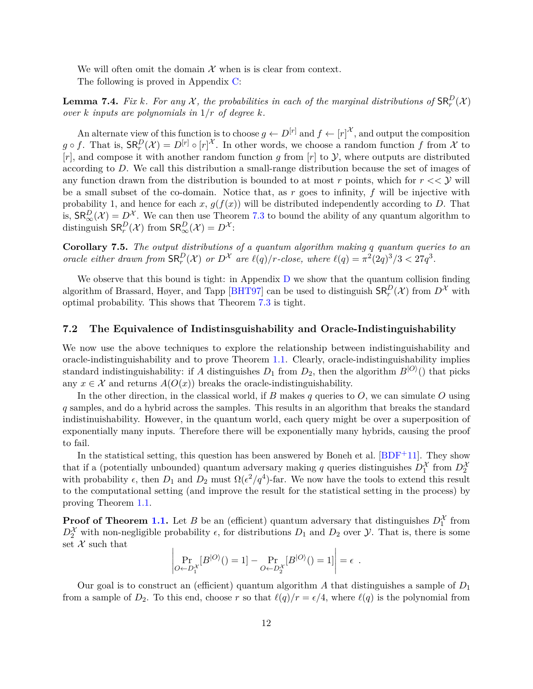We will often omit the domain  $\mathcal X$  when is is clear from context. The following is proved in Appendix [C:](#page-20-0)

<span id="page-11-1"></span>**Lemma 7.4.** *Fix k. For any*  $\mathcal{X}$ *, the probabilities in each of the marginal distributions of*  $\text{SR}_r^D(\mathcal{X})$ *over k inputs are polynomials in* 1*/r of degree k.*

An alternate view of this function is to choose  $g \leftarrow D^{[r]}$  and  $f \leftarrow [r]^{\mathcal{X}}$ , and output the composition  $g \circ f$ . That is,  $\mathsf{SR}_r^D(\mathcal{X}) = D^{[r]} \circ [r]^{\mathcal{X}}$ . In other words, we choose a random function  $f$  from  $\mathcal X$  to  $[r]$ , and compose it with another random function *g* from  $[r]$  to  $\mathcal{Y}$ , where outputs are distributed according to *D*. We call this distribution a small-range distribution because the set of images of any function drawn from the distribution is bounded to at most  $r$  points, which for  $r \ll \mathcal{Y}$  will be a small subset of the co-domain. Notice that, as *r* goes to infinity, *f* will be injective with probability 1, and hence for each  $x$ ,  $g(f(x))$  will be distributed independently according to *D*. That is,  $\mathsf{SR}_{\infty}^D(\mathcal{X}) = D^{\mathcal{X}}$ . We can then use Theorem [7.3](#page-10-1) to bound the ability of any quantum algorithm to distinguish  $\mathsf{SR}_r^D(\mathcal{X})$  from  $\mathsf{SR}_{\infty}^D(\mathcal{X}) = D^{\mathcal{X}}$ :

<span id="page-11-0"></span>**Corollary 7.5.** *The output distributions of a quantum algorithm making q quantum queries to an oracle either drawn from*  $\text{SR}_r^D(\mathcal{X})$  *or*  $D^{\mathcal{X}}$  *are*  $\ell(q)/r$ -close, where  $\ell(q) = \pi^2(2q)^3/3 < 27q^3$ .

We observe that this bound is tight: in Appendix [D](#page-22-1) we show that the quantum collision finding algorithm of Brassard, Høyer, and Tapp [\[BHT97\]](#page-27-2) can be used to distinguish  $\mathsf{SR}_r^D(\mathcal{X})$  from  $D^{\mathcal{X}}$  with optimal probability. This shows that Theorem [7.3](#page-10-1) is tight.

#### **7.2 The Equivalence of Indistinsguishability and Oracle-Indistinguishability**

We now use the above techniques to explore the relationship between indistinguishability and oracle-indistinguishability and to prove Theorem [1.1.](#page-2-0) Clearly, oracle-indistinguishability implies standard indistinguishability: if *A* distinguishes  $D_1$  from  $D_2$ , then the algorithm  $B^{|O\rangle}()$  that picks any  $x \in \mathcal{X}$  and returns  $A(O(x))$  breaks the oracle-indistinguishability.

In the other direction, in the classical world, if *B* makes *q* queries to *O*, we can simulate *O* using *q* samples, and do a hybrid across the samples. This results in an algorithm that breaks the standard indistinuishability. However, in the quantum world, each query might be over a superposition of exponentially many inputs. Therefore there will be exponentially many hybrids, causing the proof to fail.

In the statistical setting, this question has been answered by Boneh et al.  $[BDF+11]$ . They show that if a (potentially unbounded) quantum adversary making *q* queries distinguishes  $D_1^{\mathcal{X}}$  from  $D_2^{\mathcal{X}}$ with probability  $\epsilon$ , then  $D_1$  and  $D_2$  must  $\Omega(\epsilon^2/q^4)$ -far. We now have the tools to extend this result to the computational setting (and improve the result for the statistical setting in the process) by proving Theorem [1.1.](#page-2-0)

**Proof of Theorem [1.1.](#page-2-0)** Let *B* be an (efficient) quantum adversary that distinguishes  $D_1^{\mathcal{X}}$  from  $D_2^{\mathcal{X}}$  with non-negligible probability  $\epsilon$ , for distributions  $D_1$  and  $D_2$  over  $\mathcal{Y}$ . That is, there is some set  $\mathcal X$  such that

$$
\left| \Pr_{O \leftarrow D_1^{\mathcal{X}}}[B^{|O\rangle}() = 1] - \Pr_{O \leftarrow D_2^{\mathcal{X}}}[B^{|O\rangle}() = 1] \right| = \epsilon.
$$

Our goal is to construct an (efficient) quantum algorithm *A* that distinguishes a sample of  $D_1$ from a sample of  $D_2$ . To this end, choose *r* so that  $\ell(q)/r = \epsilon/4$ , where  $\ell(q)$  is the polynomial from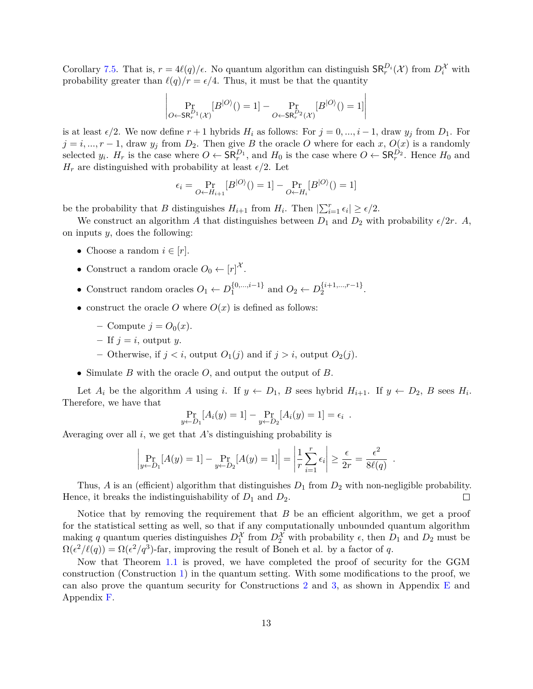Corollary [7.5.](#page-11-0) That is,  $r = 4\ell(q)/\epsilon$ . No quantum algorithm can distinguish  $\text{SR}_r^{D_i}(\mathcal{X})$  from  $D_i^{\mathcal{X}}$  with probability greater than  $\ell(q)/r = \epsilon/4$ . Thus, it must be that the quantity

$$
\left| \Pr_{O \leftarrow \mathsf{SR}_r^{D_1}(\mathcal{X})} [B^{|O\rangle}( ) = 1] - \Pr_{O \leftarrow \mathsf{SR}_r^{D_2}(\mathcal{X})} [B^{|O\rangle}( ) = 1] \right|
$$

 $\bigg\}$  $\overline{\phantom{a}}$  $\downarrow$ I  $\mid$ 

is at least  $\epsilon/2$ . We now define  $r + 1$  hybrids  $H_i$  as follows: For  $j = 0, ..., i - 1$ , draw  $y_j$  from  $D_1$ . For  $j = i, ..., r - 1$ , draw  $y_j$  from  $D_2$ . Then give *B* the oracle *O* where for each *x*,  $O(x)$  is a randomly selected  $y_i$ .  $H_r$  is the case where  $O \leftarrow \mathsf{SR}_r^{D_1}$ , and  $H_0$  is the case where  $O \leftarrow \mathsf{SR}_r^{D_2}$ . Hence  $H_0$  and  $H_r$  are distinguished with probability at least  $\epsilon/2$ . Let

$$
\epsilon_i = \Pr_{O \leftarrow H_{i+1}}[B^{|O\rangle}() = 1] - \Pr_{O \leftarrow H_i}[B^{|O\rangle}() = 1]
$$

be the probability that *B* distinguishes  $H_{i+1}$  from  $H_i$ . Then  $\sum_{i=1}^r \epsilon_i \geq \epsilon/2$ .

We construct an algorithm *A* that distinguishes between  $D_1$  and  $D_2$  with probability  $\epsilon/2r$ . *A*, on inputs *y*, does the following:

- Choose a random  $i \in [r]$ .
- Construct a random oracle  $O_0 \leftarrow [r]^{\mathcal{X}}$ .
- Construct random oracles  $O_1 \leftarrow D_1^{\{0,\ldots,i-1\}}$ { $0, \ldots, i-1$ } and *O*<sub>2</sub> ← *D*<sub>2</sub><sup>{ $i+1, \ldots, r-1$ }</sup>  $2^{i+1,\dots,r-1}$ .
- construct the oracle  $O$  where  $O(x)$  is defined as follows:
	- $\sim$  Compute  $j = O_0(x)$ .
	- $-$  If  $j = i$ , output *y*.
	- $-$  Otherwise, if  $j < i$ , output  $O_1(j)$  and if  $j > i$ , output  $O_2(j)$ .
- Simulate *B* with the oracle *O*, and output the output of *B*.

Let  $A_i$  be the algorithm  $A$  using  $i$ . If  $y \leftarrow D_1$ ,  $B$  sees hybrid  $H_{i+1}$ . If  $y \leftarrow D_2$ ,  $B$  sees  $H_i$ . Therefore, we have that

$$
\Pr_{y \leftarrow D_1} [A_i(y) = 1] - \Pr_{y \leftarrow D_2} [A_i(y) = 1] = \epsilon_i .
$$

Averaging over all *i*, we get that *A*'s distinguishing probability is

$$
\left|\Pr_{y \leftarrow D_1}[A(y) = 1] - \Pr_{y \leftarrow D_2}[A(y) = 1]\right| = \left|\frac{1}{r}\sum_{i=1}^r \epsilon_i\right| \ge \frac{\epsilon}{2r} = \frac{\epsilon^2}{8\ell(q)}.
$$

Thus, *A* is an (efficient) algorithm that distinguishes  $D_1$  from  $D_2$  with non-negligible probability. Hence, it breaks the indistinguishability of  $D_1$  and  $D_2$ .  $\Box$ 

Notice that by removing the requirement that *B* be an efficient algorithm, we get a proof for the statistical setting as well, so that if any computationally unbounded quantum algorithm making q quantum queries distinguishes  $D_1^{\mathcal{X}}$  from  $D_2^{\mathcal{X}}$  with probability  $\epsilon$ , then  $D_1$  and  $D_2$  must be  $\Omega(\epsilon^2/\ell(q)) = \Omega(\epsilon^2/q^3)$ -far, improving the result of Boneh et al. by a factor of *q*.

Now that Theorem [1.1](#page-2-0) is proved, we have completed the proof of security for the GGM construction (Construction [1\)](#page-6-0) in the quantum setting. With some modifications to the proof, we can also prove the quantum security for Constructions [2](#page-8-0) and [3,](#page-9-0) as shown in Appendix [E](#page-22-0) and Appendix [F.](#page-24-0)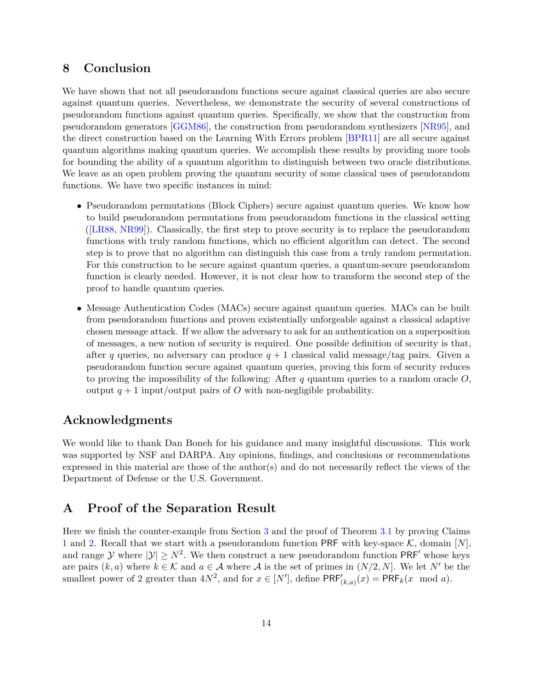# **8 Conclusion**

We have shown that not all pseudorandom functions secure against classical queries are also secure against quantum queries. Nevertheless, we demonstrate the security of several constructions of pseudorandom functions against quantum queries. Specifically, we show that the construction from pseudorandom generators [\[GGM86\]](#page-28-0), the construction from pseudorandom synthesizers [\[NR95\]](#page-28-1), and the direct construction based on the Learning With Errors problem [\[BPR11\]](#page-28-7) are all secure against quantum algorithms making quantum queries. We accomplish these results by providing more tools for bounding the ability of a quantum algorithm to distinguish between two oracle distributions. We leave as an open problem proving the quantum security of some classical uses of pseudorandom functions. We have two specific instances in mind:

- Pseudorandom permutations (Block Ciphers) secure against quantum queries. We know how to build pseudorandom permutations from pseudorandom functions in the classical setting ([\[LR88,](#page-28-11) [NR99\]](#page-28-12)). Classically, the first step to prove security is to replace the pseudorandom functions with truly random functions, which no efficient algorithm can detect. The second step is to prove that no algorithm can distinguish this case from a truly random permutation. For this construction to be secure against quantum queries, a quantum-secure pseudorandom function is clearly needed. However, it is not clear how to transform the second step of the proof to handle quantum queries.
- Message Authentication Codes (MACs) secure against quantum queries. MACs can be built from pseudorandom functions and proven existentially unforgeable against a classical adaptive chosen message attack. If we allow the adversary to ask for an authentication on a superposition of messages, a new notion of security is required. One possible definition of security is that, after *q* queries, no adversary can produce  $q + 1$  classical valid message/tag pairs. Given a pseudorandom function secure against quantum queries, proving this form of security reduces to proving the impossibility of the following: After *q* quantum queries to a random oracle *O*, output  $q+1$  input/output pairs of O with non-negligible probability.

# **Acknowledgments**

We would like to thank Dan Boneh for his guidance and many insightful discussions. This work was supported by NSF and DARPA. Any opinions, findings, and conclusions or recommendations expressed in this material are those of the author(s) and do not necessarily reflect the views of the Department of Defense or the U.S. Government.

# <span id="page-13-0"></span>**A Proof of the Separation Result**

Here we finish the counter-example from Section [3](#page-5-0) and the proof of Theorem [3.1](#page-5-1) by proving Claims [1](#page-6-1) and [2.](#page-6-2) Recall that we start with a pseudorandom function PRF with key-space  $K$ , domain [N], and range Y where  $|\mathcal{Y}| \geq N^2$ . We then construct a new pseudorandom function PRF<sup>'</sup> whose keys are pairs  $(k, a)$  where  $k \in \mathcal{K}$  and  $a \in \mathcal{A}$  where  $\mathcal{A}$  is the set of primes in  $(N/2, N]$ . We let  $N'$  be the smallest power of 2 greater than  $4N^2$ , and for  $x \in [N']$ , define  $\text{PRF}'_{(k,a)}(x) = \text{PRF}_k(x \mod a)$ .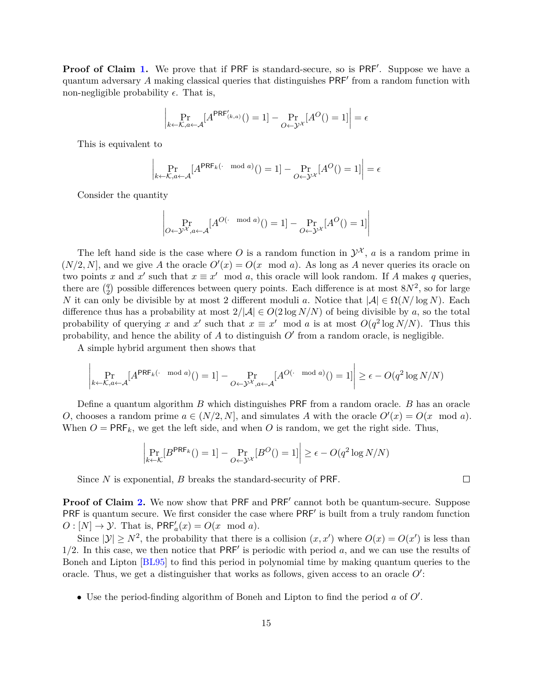**Proof of Claim [1.](#page-6-1)** We prove that if PRF is standard-secure, so is PRF'. Suppose we have a quantum adversary A making classical queries that distinguishes PRF<sup>'</sup> from a random function with non-negligible probability  $\epsilon$ . That is,

$$
\left| \Pr_{k \leftarrow \mathcal{K}, a \leftarrow \mathcal{A}} [A^{\mathsf{PRF}'_{(k,a)}}() = 1] - \Pr_{O \leftarrow \mathcal{Y}^{\mathcal{X}}}[A^O() = 1] \right| = \epsilon
$$

This is equivalent to

$$
\left| \Pr_{k \leftarrow \mathcal{K}, a \leftarrow \mathcal{A}} [A^{\mathsf{PRF}_k(\cdot \mod a)}() = 1] - \Pr_{O \leftarrow \mathcal{Y}^{\mathcal{X}}}[A^O() = 1] \right| = \epsilon
$$

Consider the quantity

$$
\left| \Pr_{O \leftarrow \mathcal{Y}^{\mathcal{X}}, a \leftarrow \mathcal{A}} [A^{O(\cdot \mod a)}() = 1] - \Pr_{O \leftarrow \mathcal{Y}^{\mathcal{X}}} [A^O() = 1] \right| \right|
$$

The left hand side is the case where O is a random function in  $\mathcal{Y}^{\mathcal{X}}$ , a is a random prime in  $(N/2, N]$ , and we give *A* the oracle  $O'(x) = O(x \mod a)$ . As long as *A* never queries its oracle on two points *x* and *x*' such that  $x \equiv x' \mod a$ , this oracle will look random. If *A* makes *q* queries, there are  $\binom{q}{2}$  $\binom{q}{2}$  possible differences between query points. Each difference is at most  $8N^2$ , so for large *N* it can only be divisible by at most 2 different moduli *a*. Notice that  $|A| \in \Omega(N/\log N)$ . Each difference thus has a probability at most  $2/|\mathcal{A}| \in O(2 \log N/N)$  of being divisible by *a*, so the total probability of querying *x* and *x*' such that  $x \equiv x' \mod a$  is at most  $O(q^2 \log N/N)$ . Thus this probability, and hence the ability of  $A$  to distinguish  $O'$  from a random oracle, is negligible.

A simple hybrid argument then shows that

$$
\left| \Pr_{k \leftarrow \mathcal{K}, a \leftarrow \mathcal{A}} [A^{\mathsf{PRF}_k(\cdot \mod a)}() = 1] - \Pr_{O \leftarrow \mathcal{Y}^{\mathcal{X}}, a \leftarrow \mathcal{A}} [A^{O(\cdot \mod a)}() = 1] \right| \ge \epsilon - O(q^2 \log N/N)
$$

Define a quantum algorithm *B* which distinguishes PRF from a random oracle. *B* has an oracle *O*, chooses a random prime  $a \in (N/2, N]$ , and simulates *A* with the oracle  $O'(x) = O(x \mod a)$ . When  $O = PRF_k$ , we get the left side, and when O is random, we get the right side. Thus,

$$
\left| \Pr_{k \leftarrow \mathcal{K}}[B^{\mathsf{PRF}_k}(t)] = 1 \right| - \Pr_{O \leftarrow \mathcal{Y}^{\mathcal{X}}}[B^O(t)] = 1] \right| \ge \epsilon - O(q^2 \log N / N)
$$

Since *N* is exponential, *B* breaks the standard-security of PRF.

**Proof of Claim [2.](#page-6-2)** We now show that PRF and PRF' cannot both be quantum-secure. Suppose PRF is quantum secure. We first consider the case where PRF' is built from a truly random function  $O: [N] \to \mathcal{Y}$ . That is,  $\mathsf{PRF}'_a(x) = O(x \mod a)$ .

Since  $|\mathcal{Y}| \geq N^2$ , the probability that there is a collision  $(x, x')$  where  $O(x) = O(x')$  is less than  $1/2$ . In this case, we then notice that PRF' is periodic with period *a*, and we can use the results of Boneh and Lipton [\[BL95\]](#page-27-1) to find this period in polynomial time by making quantum queries to the oracle. Thus, we get a distinguisher that works as follows, given access to an oracle  $O'$ :

• Use the period-finding algorithm of Boneh and Lipton to find the period  $a$  of  $O'$ .

 $\Box$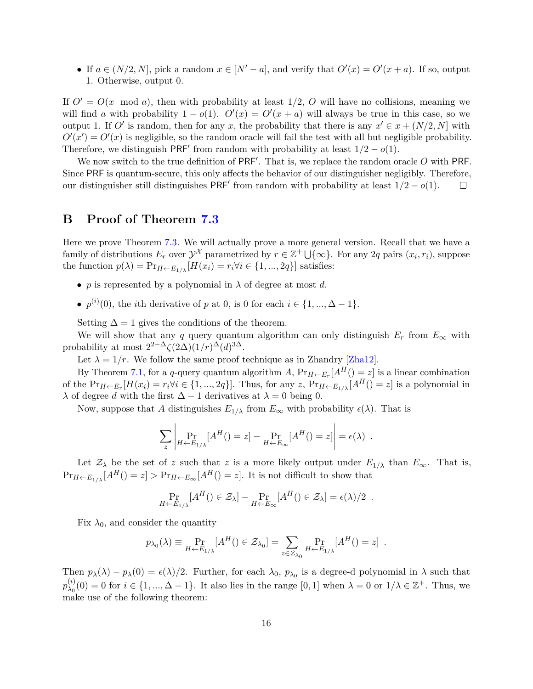• If  $a \in (N/2, N]$ , pick a random  $x \in [N' - a]$ , and verify that  $O'(x) = O'(x + a)$ . If so, output 1. Otherwise, output 0.

If  $O' = O(x \mod a)$ , then with probability at least  $1/2$ , O will have no collisions, meaning we will find *a* with probability  $1 - o(1)$ .  $O'(x) = O'(x + a)$  will always be true in this case, so we output 1. If *O'* is random, then for any *x*, the probability that there is any  $x' \in x + (N/2, N]$  with  $O'(x') = O'(x)$  is negligible, so the random oracle will fail the test with all but negligible probability. Therefore, we distinguish PRF<sup>'</sup> from random with probability at least  $1/2 - o(1)$ .

We now switch to the true definition of  $PRF'$ . That is, we replace the random oracle  $O$  with PRF. Since PRF is quantum-secure, this only affects the behavior of our distinguisher negligibly. Therefore, our distinguisher still distinguishes  $PRF'$  from random with probability at least  $1/2 - o(1)$ .  $\Box$ 

# <span id="page-15-0"></span>**B Proof of Theorem [7.3](#page-10-1)**

Here we prove Theorem [7.3.](#page-10-1) We will actually prove a more general version. Recall that we have a family of distributions  $E_r$  over  $\mathcal{Y}^{\mathcal{X}}$  parametrized by  $r \in \mathbb{Z}^+ \cup \{\infty\}$ . For any 2*q* pairs  $(x_i, r_i)$ , suppose the function  $p(\lambda) = Pr_{H \leftarrow E_{1/\lambda}}[H(x_i) = r_i \forall i \in \{1, ..., 2q\}]$  satisfies:

- *p* is represented by a polynomial in  $\lambda$  of degree at most *d*.
- $p^{(i)}(0)$ , the *i*th derivative of *p* at 0, is 0 for each  $i \in \{1, ..., \Delta 1\}$ .

Setting  $\Delta = 1$  gives the conditions of the theorem.

We will show that any *q* query quantum algorithm can only distinguish  $E_r$  from  $E_\infty$  with probability at most  $2^{2-\Delta} \zeta(2\Delta) (1/r)^{\Delta} (d)^{3\Delta}$ .

Let  $\lambda = 1/r$ . We follow the same proof technique as in Zhandry [\[Zha12\]](#page-28-8).

By Theorem [7.1,](#page-10-3) for a *q*-query quantum algorithm *A*,  $Pr_{H \leftarrow E_r}[A^H() = z]$  is a linear combination of the  $Pr_{H \leftarrow E_r}[H(x_i) = r_i \forall i \in \{1, ..., 2q\}]$ . Thus, for any z,  $Pr_{H \leftarrow E_{1/\lambda}}[A^H() = z]$  is a polynomial in *λ* of degree *d* with the first  $Δ - 1$  derivatives at  $λ = 0$  being 0.

Now, suppose that *A* distinguishes  $E_{1/\lambda}$  from  $E_{\infty}$  with probability  $\epsilon(\lambda)$ . That is

$$
\sum_{z} \left| \Pr_{H \leftarrow E_{1/\lambda}}[A^H() = z] - \Pr_{H \leftarrow E_{\infty}}[A^H() = z] \right| = \epsilon(\lambda) .
$$

Let  $\mathcal{Z}_\lambda$  be the set of *z* such that *z* is a more likely output under  $E_{1/\lambda}$  than  $E_\infty$ . That is,  $\Pr_{H \leftarrow E_{1/\lambda}}[A^H() = z] > \Pr_{H \leftarrow E_{\infty}}[A^H() = z]$ . It is not difficult to show that

$$
\Pr_{H \leftarrow E_{1/\lambda}}[A^H() \in \mathcal{Z}_{\lambda}] - \Pr_{H \leftarrow E_{\infty}}[A^H() \in \mathcal{Z}_{\lambda}] = \epsilon(\lambda)/2.
$$

Fix  $\lambda_0$ , and consider the quantity

$$
p_{\lambda_0}(\lambda) \equiv \Pr_{H \leftarrow E_{1/\lambda}}[A^H() \in \mathcal{Z}_{\lambda_0}] = \sum_{z \in \mathcal{Z}_{\lambda_0}} \Pr_{H \leftarrow E_{1/\lambda}}[A^H() = z] .
$$

<span id="page-15-1"></span>Then  $p_{\lambda}(\lambda) - p_{\lambda}(0) = \epsilon(\lambda)/2$ . Further, for each  $\lambda_0$ ,  $p_{\lambda_0}$  is a degree-d polynomial in  $\lambda$  such that  $p_{\lambda_{\alpha}}^{(i)}$  $\lambda_0^{(i)}(0) = 0$  for  $i \in \{1, ..., \Delta - 1\}$ . It also lies in the range  $[0, 1]$  when  $\lambda = 0$  or  $1/\lambda \in \mathbb{Z}^+$ . Thus, we make use of the following theorem: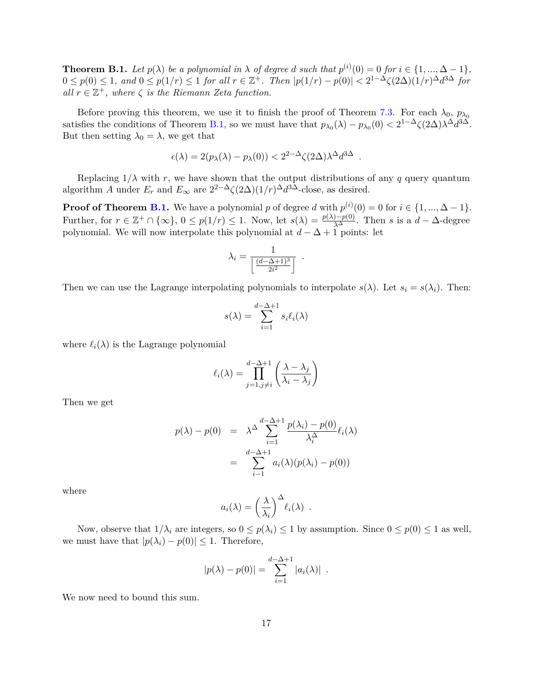**Theorem B.1.** Let  $p(\lambda)$  be a polynomial in  $\lambda$  of degree  $d$  such that  $p^{(i)}(0) = 0$  for  $i \in \{1, ..., \Delta - 1\}$ ,  $0 \le p(0) \le 1$ , and  $0 \le p(1/r) \le 1$  for all  $r \in \mathbb{Z}^+$ . Then  $|p(1/r) - p(0)| < 2^{1-\Delta} \zeta(2\Delta)(1/r)^{\Delta} d^{3\Delta}$  for  $all \ r \in \mathbb{Z}^+$ , where  $\zeta$  *is the Riemann Zeta function.* 

Before proving this theorem, we use it to finish the proof of Theorem [7.3.](#page-10-1) For each  $\lambda_0$ ,  $p_{\lambda_0}$ satisfies the conditions of Theorem [B.1,](#page-15-1) so we must have that  $p_{\lambda_0}(\lambda) - p_{\lambda_0}(0) < 2^{1-\Delta}\zeta(2\Delta)\lambda^{\Delta}d^{3\Delta}$ . But then setting  $\lambda_0 = \lambda$ , we get that

$$
\epsilon(\lambda) = 2(p_{\lambda}(\lambda) - p_{\lambda}(0)) < 2^{2-\Delta} \zeta(2\Delta) \lambda^{\Delta} d^{3\Delta} \ .
$$

Replacing  $1/\lambda$  with *r*, we have shown that the output distributions of any *q* query quantum algorithm *A* under  $E_r$  and  $E_\infty$  are  $2^{2-\Delta}\zeta(2\Delta)(1/r)^{\Delta}d^{3\Delta}$ -close, as desired.

**Proof of Theorem [B.1.](#page-15-1)** We have a polynomial *p* of degree *d* with  $p^{(i)}(0) = 0$  for  $i \in \{1, ..., \Delta - 1\}$ . Further, for  $r \in \mathbb{Z}^+ \cap \{\infty\}$ ,  $0 \leq p(1/r) \leq 1$ . Now, let  $s(\lambda) = \frac{p(\lambda) - p(0)}{\lambda^{\Delta}}$ . Then *s* is a  $d - \Delta$ -degree polynomial. We will now interpolate this polynomial at  $d - \Delta + 1$  points: let

$$
\lambda_i = \frac{1}{\left\lfloor \frac{(d-\Delta+1)^3}{2i^2} \right\rfloor} .
$$

Then we can use the Lagrange interpolating polynomials to interpolate  $s(\lambda)$ . Let  $s_i = s(\lambda_i)$ . Then:

$$
s(\lambda) = \sum_{i=1}^{d-\Delta+1} s_i \ell_i(\lambda)
$$

where  $\ell_i(\lambda)$  is the Lagrange polynomial

$$
\ell_i(\lambda) = \prod_{j=1, j \neq i}^{d - \Delta + 1} \left( \frac{\lambda - \lambda_j}{\lambda_i - \lambda_j} \right)
$$

Then we get

$$
p(\lambda) - p(0) = \lambda^{\Delta} \sum_{i=1}^{d-\Delta+1} \frac{p(\lambda_i) - p(0)}{\lambda_i^{\Delta}} \ell_i(\lambda)
$$

$$
= \sum_{i=1}^{d-\Delta+1} a_i(\lambda) (p(\lambda_i) - p(0))
$$

where

$$
a_i(\lambda) = \left(\frac{\lambda}{\lambda_i}\right)^{\Delta} \ell_i(\lambda) .
$$

Now, observe that  $1/\lambda_i$  are integers, so  $0 \le p(\lambda_i) \le 1$  by assumption. Since  $0 \le p(0) \le 1$  as well, we must have that  $|p(\lambda_i) - p(0)| \leq 1$ . Therefore,

$$
|p(\lambda) - p(0)| = \sum_{i=1}^{d - \Delta + 1} |a_i(\lambda)|.
$$

<span id="page-16-0"></span>We now need to bound this sum.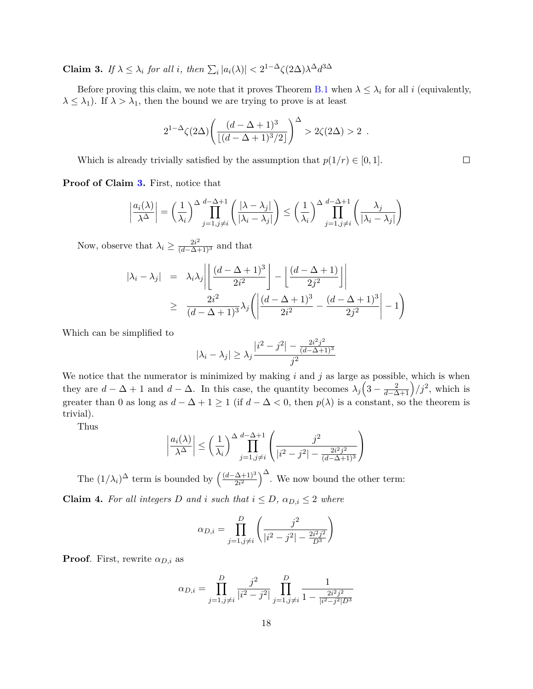**Claim 3.** *If*  $\lambda \leq \lambda_i$  *for all i*, *then*  $\sum_i |a_i(\lambda)| < 2^{1-\Delta} \zeta(2\Delta) \lambda^{\Delta} d^{3\Delta}$ 

Before proving this claim, we note that it proves Theorem [B.1](#page-15-1) when  $\lambda \leq \lambda_i$  for all *i* (equivalently,  $\lambda \leq \lambda_1$ ). If  $\lambda > \lambda_1$ , then the bound we are trying to prove is at least

$$
2^{1-\Delta}\zeta(2\Delta)\left(\frac{(d-\Delta+1)^3}{\lfloor(d-\Delta+1)^3/2\rfloor}\right)^{\Delta} > 2\zeta(2\Delta) > 2.
$$

Which is already trivially satisfied by the assumption that  $p(1/r) \in [0, 1]$ .

**Proof of Claim [3.](#page-16-0)** First, notice that

$$
\left|\frac{a_i(\lambda)}{\lambda^{\Delta}}\right| = \left(\frac{1}{\lambda_i}\right)^{\Delta} \prod_{j=1, j\neq i}^{d-\Delta+1} \left(\frac{|\lambda - \lambda_j|}{|\lambda_i - \lambda_j|}\right) \le \left(\frac{1}{\lambda_i}\right)^{\Delta} \prod_{j=1, j\neq i}^{d-\Delta+1} \left(\frac{\lambda_j}{|\lambda_i - \lambda_j|}\right)
$$

Now, observe that  $\lambda_i \geq \frac{2i^2}{(d-\Delta+1)^3}$  and that

$$
|\lambda_i - \lambda_j| = \lambda_i \lambda_j \left| \left| \frac{(d - \Delta + 1)^3}{2i^2} \right| - \left| \frac{(d - \Delta + 1)}{2j^2} \right| \right|
$$
  
\n
$$
\geq \frac{2i^2}{(d - \Delta + 1)^3} \lambda_j \left( \left| \frac{(d - \Delta + 1)^3}{2i^2} - \frac{(d - \Delta + 1)^3}{2j^2} \right| - 1 \right)
$$

Which can be simplified to

$$
|\lambda_i - \lambda_j| \ge \lambda_j \frac{|i^2 - j^2| - \frac{2i^2j^2}{(d - \Delta + 1)^3}}{j^2}
$$

We notice that the numerator is minimized by making *i* and *j* as large as possible, which is when they are  $d - \Delta + 1$  and  $d - \Delta$ . In this case, the quantity becomes  $\lambda_j \left(3 - \frac{2}{d - \Delta + 1}\right) / j^2$ , which is greater than 0 as long as  $d - \Delta + 1 \ge 1$  (if  $d - \Delta < 0$ , then  $p(\lambda)$  is a constant, so the theorem is trivial).

Thus

$$
\left|\frac{a_i(\lambda)}{\lambda^{\Delta}}\right| \le \left(\frac{1}{\lambda_i}\right)^{\Delta} \prod_{j=1, j\neq i}^{d-\Delta+1} \left(\frac{j^2}{|i^2 - j^2| - \frac{2i^2j^2}{(d-\Delta+1)^3}}\right)
$$

The  $(1/\lambda_i)^{\Delta}$  term is bounded by  $\left(\frac{(d-\Delta+1)^3}{2i^2}\right)$  $\frac{\Delta+1}{2i^2}$ )<sup> $\triangle$ </sup>. We now bound the other term: **Claim 4.** For all integers D and *i* such that  $i \leq D$ ,  $\alpha_{D,i} \leq 2$  where

$$
\alpha_{D,i} = \prod_{j=1, j \neq i}^{D} \left( \frac{j^2}{|i^2 - j^2| - \frac{2i^2 j^2}{D^3}} \right)
$$

**Proof***.* First, rewrite  $\alpha_{D,i}$  as

$$
\alpha_{D,i} = \prod_{j=1, j \neq i}^{D} \frac{j^2}{|i^2 - j^2|} \prod_{j=1, j \neq i}^{D} \frac{1}{1 - \frac{2i^2 j^2}{|i^2 - j^2|D^3}}
$$

 $\Box$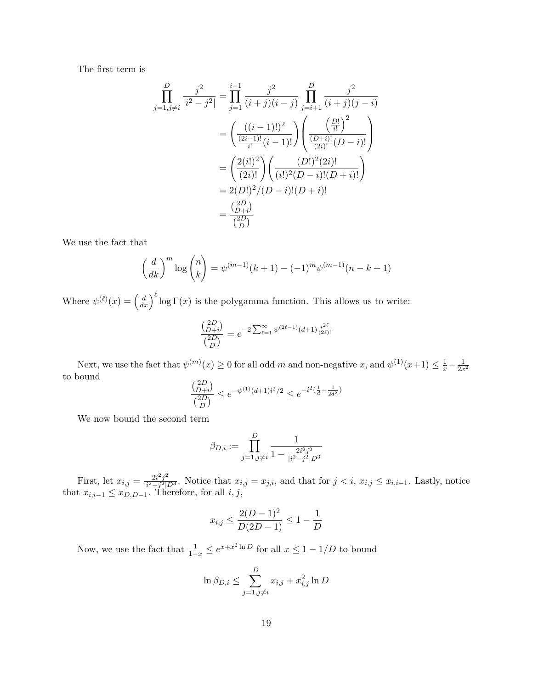The first term is

$$
\prod_{j=1, j\neq i}^{D} \frac{j^2}{|i^2 - j^2|} = \prod_{j=1}^{i-1} \frac{j^2}{(i+j)(i-j)} \prod_{j=i+1}^{D} \frac{j^2}{(i+j)(j-i)}
$$

$$
= \left(\frac{((i-1)!)^2}{\frac{(2i-1)!}{i!}(i-1)!}\right) \left(\frac{\left(\frac{D!}{i!}\right)^2}{\frac{(D+i)!}{(2i)!}(D-i)!}\right)
$$

$$
= \left(\frac{2(i!)^2}{(2i)!}\right) \left(\frac{(D!)^2(2i)!}{(i!)^2(D-i)!(D+i)!}\right)
$$

$$
= 2(D!)^2/(D-i)!(D+i)!
$$

$$
= \frac{\binom{2D}{D+1}}{\binom{2D}{D}}
$$

We use the fact that

$$
\left(\frac{d}{dk}\right)^m \log \binom{n}{k} = \psi^{(m-1)}(k+1) - (-1)^m \psi^{(m-1)}(n-k+1)
$$

Where  $\psi^{(\ell)}(x) = \left(\frac{d}{dx}\right)^{\ell} \log \Gamma(x)$  is the polygamma function. This allows us to write:

$$
\frac{\binom{2D}{D+i}}{\binom{2D}{D}} = e^{-2\sum_{\ell=1}^{\infty} \psi^{(2\ell-1)} (d+1) \frac{i^{2\ell}}{(2\ell)!}}
$$

Next, we use the fact that  $\psi^{(m)}(x) \ge 0$  for all odd *m* and non-negative *x*, and  $\psi^{(1)}(x+1) \le \frac{1}{x} - \frac{1}{2x^2}$ to bound  $\overline{2}$ 

$$
\frac{\binom{2D}{D+i}}{\binom{2D}{D}} \le e^{-\psi^{(1)}(d+1)i^2/2} \le e^{-i^2(\frac{1}{d} - \frac{1}{2d^2})}
$$

We now bound the second term

$$
\beta_{D,i} := \prod_{j=1, j \neq i}^{D} \frac{1}{1 - \frac{2i^2 j^2}{|i^2 - j^2|D^3}}
$$

First, let  $x_{i,j} = \frac{2i^2j^2}{|i^2 - j^2|}$  $\frac{2i^2j^2}{[i^2-j^2]D^3}$ . Notice that  $x_{i,j} = x_{j,i}$ , and that for  $j < i$ ,  $x_{i,j} ≤ x_{i,i-1}$ . Lastly, notice that  $x_{i,i-1} \leq x_{D,D-1}$ . Therefore, for all *i*, *j*,

$$
x_{i,j} \le \frac{2(D-1)^2}{D(2D-1)} \le 1 - \frac{1}{D}
$$

Now, we use the fact that  $\frac{1}{1-x} \leq e^{x+x^2 \ln D}$  for all  $x \leq 1 - 1/D$  to bound

$$
\ln \beta_{D,i} \le \sum_{j=1, j\neq i}^D x_{i,j} + x_{i,j}^2 \ln D
$$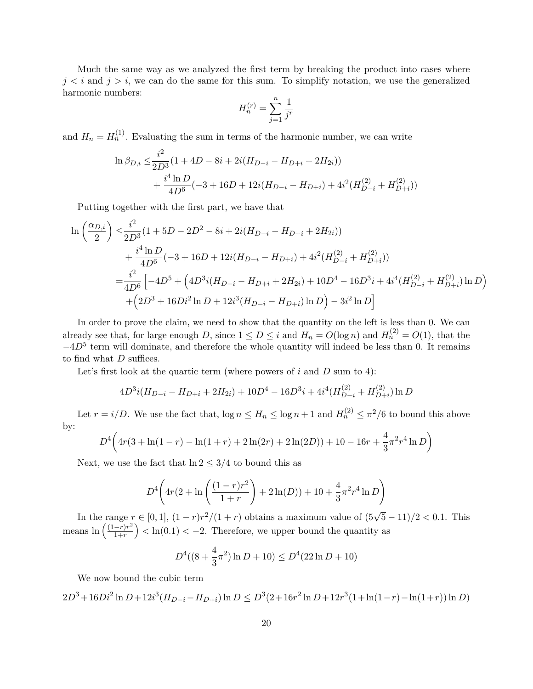Much the same way as we analyzed the first term by breaking the product into cases where  $j < i$  and  $j > i$ , we can do the same for this sum. To simplify notation, we use the generalized harmonic numbers:

$$
H_n^{(r)} = \sum_{j=1}^n \frac{1}{j^r}
$$

and  $H_n = H_n^{(1)}$ . Evaluating the sum in terms of the harmonic number, we can write

$$
\ln \beta_{D,i} \leq \frac{i^2}{2D^3} (1 + 4D - 8i + 2i(H_{D-i} - H_{D+i} + 2H_{2i}))
$$
  
+ 
$$
\frac{i^4 \ln D}{4D^6} (-3 + 16D + 12i(H_{D-i} - H_{D+i}) + 4i^2(H_{D-i}^{(2)} + H_{D+i}^{(2)}))
$$

Putting together with the first part, we have that

$$
\ln\left(\frac{\alpha_{D,i}}{2}\right) \leq \frac{i^2}{2D^3} (1 + 5D - 2D^2 - 8i + 2i(H_{D-i} - H_{D+i} + 2H_{2i}))
$$
  
+ 
$$
\frac{i^4 \ln D}{4D^6} (-3 + 16D + 12i(H_{D-i} - H_{D+i}) + 4i^2(H_{D-i}^{(2)} + H_{D+i}^{(2)}))
$$
  
= 
$$
\frac{i^2}{4D^6} \left[ -4D^5 + \left( 4D^3i(H_{D-i} - H_{D+i} + 2H_{2i}) + 10D^4 - 16D^3i + 4i^4(H_{D-i}^{(2)} + H_{D+i}^{(2)})\ln D \right) + (2D^3 + 16Di^2 \ln D + 12i^3(H_{D-i} - H_{D+i})\ln D) - 3i^2 \ln D \right]
$$

In order to prove the claim, we need to show that the quantity on the left is less than 0. We can already see that, for large enough *D*, since  $1 \le D \le i$  and  $H_n = O(\log n)$  and  $H_n^{(2)} = O(1)$ , that the  $-4D<sup>5</sup>$  term will dominate, and therefore the whole quantity will indeed be less than 0. It remains to find what *D* suffices.

Let's first look at the quartic term (where powers of *i* and *D* sum to 4):

$$
4D^3i(H_{D-i} - H_{D+i} + 2H_{2i}) + 10D^4 - 16D^3i + 4i^4(H_{D-i}^{(2)} + H_{D+i}^{(2)})\ln D
$$

Let  $r = i/D$ . We use the fact that,  $\log n \le H_n \le \log n + 1$  and  $H_n^{(2)} \le \pi^2/6$  to bound this above by:

$$
D^{4}(4r(3+\ln(1-r)-\ln(1+r)+2\ln(2r)+2\ln(2D))+10-16r+\frac{4}{3}\pi^{2}r^{4}\ln D)
$$

Next, we use the fact that  $\ln 2 \leq 3/4$  to bound this as

$$
D^{4}\left(4r(2+\ln\left(\frac{(1-r)r^{2}}{1+r}\right)+2\ln(D))+10+\frac{4}{3}\pi^{2}r^{4}\ln D\right)
$$

In the range  $r \in [0, 1]$ ,  $(1 - r)r^2/(1 + r)$  obtains a maximum value of  $(5\sqrt{5} - 11)/2 < 0.1$ . This means  $\ln\left(\frac{(1-r)r^2}{1+r}\right)$  $\left(\frac{-r}{1+r}\right)^{r^2}$   $\left(\ln(0.1) < -2. \right)$  Therefore, we upper bound the quantity as

$$
D^{4}((8+\frac{4}{3}\pi^{2})\ln D + 10) \le D^{4}(22\ln D + 10)
$$

We now bound the cubic term

$$
2D^3 + 16Di^2\ln D + 12i^3(H_{D-i} - H_{D+i})\ln D \le D^3(2 + 16r^2\ln D + 12r^3(1 + \ln(1-r) - \ln(1+r))\ln D)
$$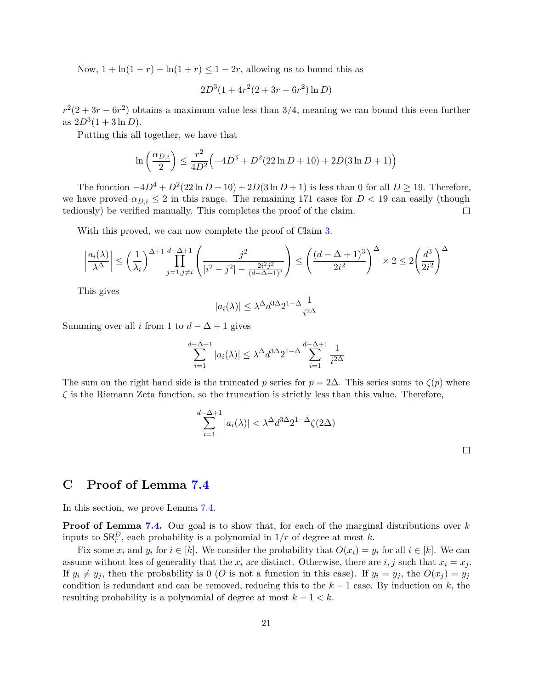Now,  $1 + \ln(1 - r) - \ln(1 + r) \leq 1 - 2r$ , allowing us to bound this as

$$
2D^3(1+4r^2(2+3r-6r^2)\ln D)
$$

 $r^2(2+3r-6r^2)$  obtains a maximum value less than 3/4, meaning we can bound this even further as  $2D^3(1+3\ln D)$ .

Putting this all together, we have that

$$
\ln\left(\frac{\alpha_{D,i}}{2}\right) \le \frac{r^2}{4D^2} \Big(-4D^3 + D^2(22\ln D + 10) + 2D(3\ln D + 1)\Big)
$$

The function  $-4D^4 + D^2(22 \ln D + 10) + 2D(3 \ln D + 1)$  is less than 0 for all  $D \ge 19$ . Therefore, we have proved  $\alpha_{D,i} \leq 2$  in this range. The remaining 171 cases for  $D < 19$  can easily (though tediously) be verified manually. This completes the proof of the claim.  $\Box$ 

With this proved, we can now complete the proof of Claim [3.](#page-16-0)

$$
\left|\frac{a_i(\lambda)}{\lambda^{\Delta}}\right| \le \left(\frac{1}{\lambda_i}\right)^{\Delta+1} \prod_{j=1, j\neq i}^{d-\Delta+1} \left(\frac{j^2}{|i^2-j^2| - \frac{2i^2j^2}{(d-\Delta+1)^3}}\right) \le \left(\frac{(d-\Delta+1)^3}{2i^2}\right)^{\Delta} \times 2 \le 2\left(\frac{d^3}{2i^2}\right)^{\Delta}
$$

This gives

$$
|a_i(\lambda)| \leq \lambda^{\Delta} d^{3\Delta} 2^{1-\Delta} \frac{1}{i^{2\Delta}}
$$

Summing over all *i* from 1 to  $d - \Delta + 1$  gives

$$
\sum_{i=1}^{d-\Delta+1} |a_i(\lambda)| \leq \lambda^{\Delta} d^{3\Delta} 2^{1-\Delta} \sum_{i=1}^{d-\Delta+1} \frac{1}{i^{2\Delta}}
$$

The sum on the right hand side is the truncated *p* series for  $p = 2\Delta$ . This series sums to  $\zeta(p)$  where *ζ* is the Riemann Zeta function, so the truncation is strictly less than this value. Therefore,

$$
\sum_{i=1}^{d-\Delta+1} |a_i(\lambda)| < \lambda^{\Delta} d^{3\Delta} 2^{1-\Delta} \zeta(2\Delta)
$$

 $\Box$ 

# <span id="page-20-0"></span>**C Proof of Lemma [7.4](#page-11-1)**

In this section, we prove Lemma [7.4.](#page-11-1)

**Proof of Lemma [7.4.](#page-11-1)** Our goal is to show that, for each of the marginal distributions over *k* inputs to  $\mathsf{SR}_r^D$ , each probability is a polynomial in  $1/r$  of degree at most *k*.

Fix some  $x_i$  and  $y_i$  for  $i \in [k]$ . We consider the probability that  $O(x_i) = y_i$  for all  $i \in [k]$ . We can assume without loss of generality that the  $x_i$  are distinct. Otherwise, there are  $i, j$  such that  $x_i = x_j$ . If  $y_i \neq y_j$ , then the probability is 0 (*O* is not a function in this case). If  $y_i = y_j$ , the  $O(x_j) = y_j$ condition is redundant and can be removed, reducing this to the *k* − 1 case. By induction on *k*, the resulting probability is a polynomial of degree at most  $k - 1 < k$ .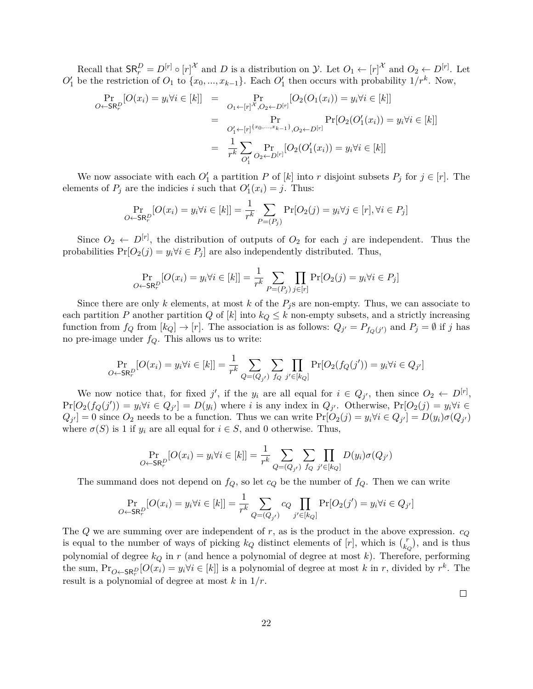Recall that  $\mathsf{SR}_r^D = D^{[r]} \circ [r]^{\mathcal{X}}$  and *D* is a distribution on *y*. Let  $O_1 \leftarrow [r]^{\mathcal{X}}$  and  $O_2 \leftarrow D^{[r]}$ . Let  $O'_1$  be the restriction of  $O_1$  to  $\{x_0, ..., x_{k-1}\}$ . Each  $O'_1$  then occurs with probability  $1/r^k$ . Now,

$$
\Pr_{O \leftarrow \mathsf{SR}_r} [O(x_i) = y_i \forall i \in [k]] = \Pr_{O_1 \leftarrow [r]^{\mathcal{X}}, O_2 \leftarrow D^{[r]}} [O_2(O_1(x_i)) = y_i \forall i \in [k]]
$$
\n
$$
= \Pr_{O'_1 \leftarrow [r]^{\{x_0, \dots, x_{k-1}\}}, O_2 \leftarrow D^{[r]}} \Pr[O_2(O'_1(x_i)) = y_i \forall i \in [k]]
$$
\n
$$
= \frac{1}{r^k} \sum_{O'_1} \Pr_{O_2 \leftarrow D^{[r]}} [O_2(O'_1(x_i)) = y_i \forall i \in [k]]
$$

We now associate with each  $O'_1$  a partition  $P$  of  $[k]$  into  $r$  disjoint subsets  $P_j$  for  $j \in [r]$ . The elements of  $P_j$  are the indicies *i* such that  $O'_1(x_i) = j$ . Thus:

$$
\Pr_{O\leftarrow \mathsf{SR}_r^D}[O(x_i) = y_i \forall i \in [k]] = \frac{1}{r^k} \sum_{P=(P_j)} \Pr[O_2(j) = y_i \forall j \in [r], \forall i \in P_j]
$$

Since  $O_2 \leftarrow D^{[r]}$ , the distribution of outputs of  $O_2$  for each *j* are independent. Thus the probabilities  $Pr[O_2(j) = y_i \forall i \in P_j]$  are also independently distributed. Thus,

$$
\Pr_{O \leftarrow \mathsf{SR}_r^D} [O(x_i) = y_i \forall i \in [k]] = \frac{1}{r^k} \sum_{P = (P_j)} \prod_{j \in [r]} \Pr[O_2(j) = y_i \forall i \in P_j]
$$

Since there are only k elements, at most k of the  $P<sub>j</sub>$  s are non-empty. Thus, we can associate to each partition *P* another partition *Q* of [*k*] into  $k_Q \leq k$  non-empty subsets, and a strictly increasing function from  $f_Q$  from  $[k_Q] \to [r]$ . The association is as follows:  $Q_{j'} = P_{f_Q(j')}$  and  $P_j = \emptyset$  if *j* has no pre-image under *fQ*. This allows us to write:

$$
\Pr_{O \leftarrow \mathsf{SR}_r^D} [O(x_i) = y_i \forall i \in [k]] = \frac{1}{r^k} \sum_{Q = (Q_{j'})} \sum_{f_Q} \prod_{j' \in [k_Q]} \Pr[O_2(f_Q(j')) = y_i \forall i \in Q_{j'}]
$$

We now notice that, for fixed *j'*, if the  $y_i$  are all equal for  $i \in Q_{j'}$ , then since  $O_2 \leftarrow D^{[r]}$ ,  $Pr[O_2(f_Q(j')) = y_i \forall i \in Q_{j'}] = D(y_i)$  where i is any index in  $Q_{j'}$ . Otherwise,  $Pr[O_2(j) = y_i \forall i \in Q_{j'}]$  $Q_{j'}$  = 0 since  $O_2$  needs to be a function. Thus we can write  $Pr[O_2(j) = y_i \forall i \in Q_{j'}] = D(y_i) \sigma(Q_{j'})$ where  $\sigma(S)$  is 1 if  $y_i$  are all equal for  $i \in S$ , and 0 otherwise. Thus,

$$
\Pr_{O \leftarrow \mathsf{SR}_r^D} [O(x_i) = y_i \forall i \in [k]] = \frac{1}{r^k} \sum_{Q = (Q_{j'})} \sum_{f_Q} \prod_{j' \in [k_Q]} D(y_i) \sigma(Q_{j'})
$$

The summand does not depend on  $f_Q$ , so let  $c_Q$  be the number of  $f_Q$ . Then we can write

$$
\Pr_{O \leftarrow \mathsf{SR}_r^D}[O(x_i) = y_i \forall i \in [k]] = \frac{1}{r^k} \sum_{Q = (Q_{j'})} c_Q \prod_{j' \in [k_Q]} \Pr[O_2(j') = y_i \forall i \in Q_{j'}]
$$

The *Q* we are summing over are independent of *r*, as is the product in the above expression. *c<sup>Q</sup>* is equal to the number of ways of picking  $k_Q$  distinct elements of  $[r]$ , which is  $\binom{r}{k_Q}$  $\binom{r}{k_Q}$ , and is thus polynomial of degree  $k_Q$  in  $r$  (and hence a polynomial of degree at most  $k$ ). Therefore, performing the sum,  $Pr_{O \leftarrow \mathsf{SR}_{r}^{D}}[O(x_i) = y_i \forall i \in [k]]$  is a polynomial of degree at most *k* in *r*, divided by  $r^k$ . The result is a polynomial of degree at most *k* in 1*/r*.

 $\Box$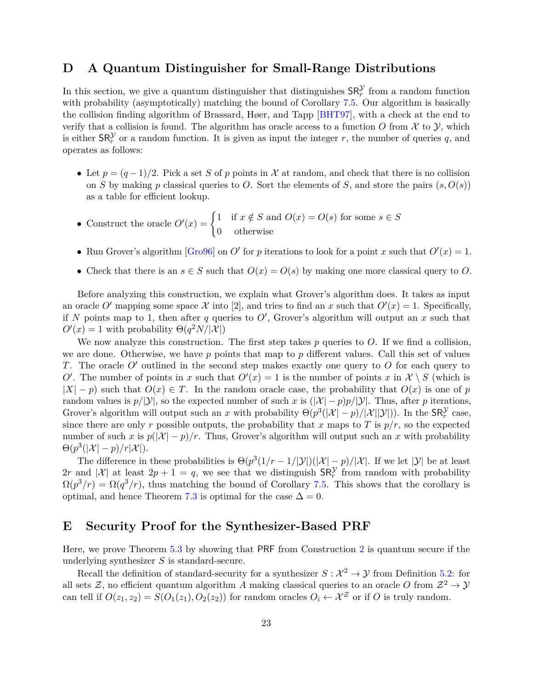### <span id="page-22-1"></span>**D A Quantum Distinguisher for Small-Range Distributions**

In this section, we give a quantum distinguisher that distinguishes  $\mathsf{SR}_r^{\mathcal{Y}}$  from a random function with probability (asymptotically) matching the bound of Corollary [7.5.](#page-11-0) Our algorithm is basically the collision finding algorithm of Brassard, Høer, and Tapp [\[BHT97\]](#page-27-2), with a check at the end to verify that a collision is found. The algorithm has oracle access to a function O from  $\mathcal X$  to  $\mathcal Y$ , which is either  $\mathsf{SR}_r^{\mathcal{Y}}$  or a random function. It is given as input the integer r, the number of queries q, and operates as follows:

- Let  $p = (q-1)/2$ . Pick a set *S* of *p* points in *X* at random, and check that there is no collision on *S* by making *p* classical queries to *O*. Sort the elements of *S*, and store the pairs  $(s, O(s))$ as a table for efficient lookup.
- Construct the oracle  $O'(x) = \begin{cases} 1 & \text{if } x \notin S \text{ and } O(x) = O(s) \text{ for some } s \in S \end{cases}$ 0 otherwise
- Run Grover's algorithm [\[Gro96\]](#page-28-13) on *O'* for *p* iterations to look for a point *x* such that  $O'(x) = 1$ .
- Check that there is an  $s \in S$  such that  $O(x) = O(s)$  by making one more classical query to *O*.

Before analyzing this construction, we explain what Grover's algorithm does. It takes as input an oracle O' mapping some space X into [2], and tries to find an x such that  $O'(x) = 1$ . Specifically, if *N* points map to 1, then after  $q$  queries to  $O'$ , Grover's algorithm will output an  $x$  such that  $O'(x) = 1$  with probability  $\Theta(q^2 N/|\mathcal{X}|)$ 

We now analyze this construction. The first step takes *p* queries to *O*. If we find a collision, we are done. Otherwise, we have *p* points that map to *p* different values. Call this set of values *T*. The oracle O' outlined in the second step makes exactly one query to O for each query to *O*<sup> $\prime$ </sup>. The number of points in *x* such that  $O'(x) = 1$  is the number of points *x* in  $\mathcal{X} \setminus S$  (which is  $|X| - p$ ) such that  $O(x) \in T$ . In the random oracle case, the probability that  $O(x)$  is one of *p* random values is  $p/|\mathcal{Y}|$ , so the expected number of such *x* is  $(|\mathcal{X}|-p)p/|\mathcal{Y}|$ . Thus, after *p* iterations, Grover's algorithm will output such an x with probability  $\Theta(p^3(|\mathcal{X}|-p)/|\mathcal{X}||\mathcal{Y}|)$ ). In the  $\text{SR}_r^{\mathcal{Y}}$  case, since there are only  $r$  possible outputs, the probability that  $x$  maps to  $T$  is  $p/r$ , so the expected number of such *x* is  $p(|\mathcal{X}| - p)/r$ . Thus, Grover's algorithm will output such an *x* with probability  $\Theta(p^3(|\mathcal{X}| - p)/r|\mathcal{X}|).$ 

The difference in these probabilities is  $\Theta(p^3(1/r-1/|\mathcal{Y}|)(|\mathcal{X}|-p)/|\mathcal{X}|$ . If we let  $|\mathcal{Y}|$  be at least 2*r* and |X| at least  $2p + 1 = q$ , we see that we distinguish  $\text{SR}_r^{\mathcal{Y}}$  from random with probability  $\Omega(p^3/r) = \Omega(q^3/r)$ , thus matching the bound of Corollary [7.5.](#page-11-0) This shows that the corollary is optimal, and hence Theorem [7.3](#page-10-1) is optimal for the case  $\Delta = 0$ .

# <span id="page-22-0"></span>**E Security Proof for the Synthesizer-Based PRF**

Here, we prove Theorem [5.3](#page-9-1) by showing that PRF from Construction [2](#page-8-0) is quantum secure if the underlying synthesizer *S* is standard-secure.

Recall the definition of standard-security for a synthesizer  $S: \mathcal{X}^2 \to \mathcal{Y}$  from Definition [5.2:](#page-8-1) for all sets  $\mathcal{Z}$ , no efficient quantum algorithm *A* making classical queries to an oracle *O* from  $\mathcal{Z}^2 \to \mathcal{Y}$ can tell if  $O(z_1, z_2) = S(O_1(z_1), O_2(z_2))$  for random oracles  $O_i \leftarrow \mathcal{X}^{\mathcal{Z}}$  or if *O* is truly random.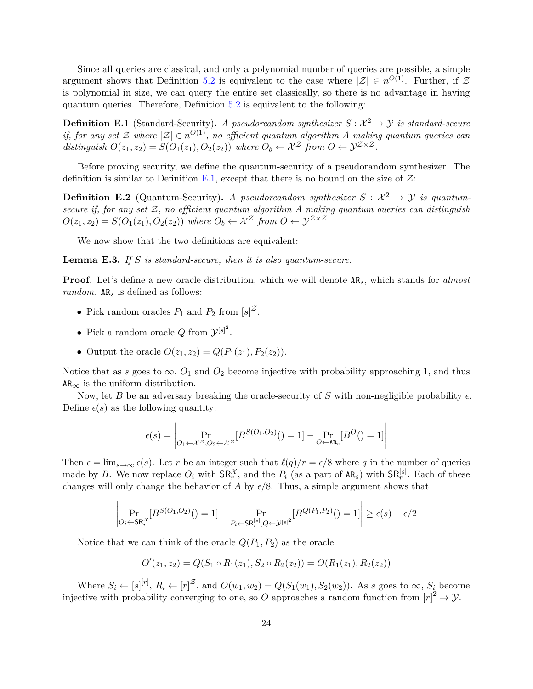Since all queries are classical, and only a polynomial number of queries are possible, a simple argument shows that Definition [5.2](#page-8-1) is equivalent to the case where  $|\mathcal{Z}| \in n^{O(1)}$ . Further, if Z is polynomial in size, we can query the entire set classically, so there is no advantage in having quantum queries. Therefore, Definition [5.2](#page-8-1) is equivalent to the following:

<span id="page-23-0"></span>**Definition E.1** (Standard-Security). A pseudoreandom synthesizer  $S: \mathcal{X}^2 \to \mathcal{Y}$  is standard-secure *if, for any set*  $\mathcal{Z}$  *where*  $|\mathcal{Z}| \in n^{O(1)}$ *, no efficient quantum algorithm A making quantum queries can distinguish*  $O(z_1, z_2) = S(O_1(z_1), O_2(z_2))$  *where*  $O_b \leftarrow \mathcal{X}^{\mathcal{Z}}$  *from*  $O \leftarrow \mathcal{Y}^{\mathcal{Z} \times \mathcal{Z}}$ *.* 

Before proving security, we define the quantum-security of a pseudorandom synthesizer. The definition is similar to Definition [E.1,](#page-23-0) except that there is no bound on the size of  $\mathcal{Z}$ :

**Definition E.2** (Quantum-Security). A pseudoreandom synthesizer  $S: \mathcal{X}^2 \to \mathcal{Y}$  is quantum*secure if, for any set* Z*, no efficient quantum algorithm A making quantum queries can distinguish*  $O(z_1, z_2) = S(O_1(z_1), O_2(z_2))$  *where*  $O_b \leftarrow \mathcal{X}^{\mathcal{Z}}$  *from*  $O \leftarrow \mathcal{Y}^{\mathcal{Z} \times \mathcal{Z}}$ 

We now show that the two definitions are equivalent:

<span id="page-23-1"></span>**Lemma E.3.** *If S is standard-secure, then it is also quantum-secure.*

**Proof***.* Let's define a new oracle distribution, which we will denote AR*s*, which stands for *almost random*. AR*<sup>s</sup>* is defined as follows:

- Pick random oracles  $P_1$  and  $P_2$  from  $[s]^{\mathcal{Z}}$ .
- Pick a random oracle  $Q$  from  $\mathcal{Y}^{[s]^2}$ .
- Output the oracle  $O(z_1, z_2) = Q(P_1(z_1), P_2(z_2)).$

Notice that as *s* goes to  $\infty$ ,  $O_1$  and  $O_2$  become injective with probability approaching 1, and thus  $AR_{\infty}$  is the uniform distribution.

Now, let *B* be an adversary breaking the oracle-security of *S* with non-negligible probability  $\epsilon$ . Define  $\epsilon(s)$  as the following quantity:

$$
\epsilon(s) = \left| \Pr_{O_1 \leftarrow \mathcal{X}^Z, O_2 \leftarrow \mathcal{X}^Z} [B^{S(O_1, O_2)}() = 1] - \Pr_{O \leftarrow \text{AR}_s} [B^O() = 1] \right| \right|
$$

Then  $\epsilon = \lim_{s\to\infty} \epsilon(s)$ . Let *r* be an integer such that  $\ell(q)/r = \epsilon/8$  where *q* in the number of queries made by *B*. We now replace  $O_i$  with  $\textsf{SR}_r^{\mathcal{X}}$ , and the  $P_i$  (as a part of  $\textsf{AR}_s$ ) with  $\textsf{SR}_r^{[s]}$ . Each of these changes will only change the behavior of *A* by  $\epsilon/8$ . Thus, a simple argument shows that

$$
\left|\Pr_{O_i \leftarrow \mathsf{SR}_r^{\mathcal{X}}}[B^{S(O_1,O_2)}() = 1] - \Pr_{P_i \leftarrow \mathsf{SR}_r^{[s]}, Q \leftarrow \mathcal{Y}^{[s]^2}}[B^{Q(P_1,P_2)}() = 1]\right| \ge \epsilon(s) - \epsilon/2
$$

Notice that we can think of the oracle  $Q(P_1, P_2)$  as the oracle

$$
O'(z_1, z_2) = Q(S_1 \circ R_1(z_1), S_2 \circ R_2(z_2)) = O(R_1(z_1), R_2(z_2))
$$

Where  $S_i \leftarrow [s]^{[r]}$ ,  $R_i \leftarrow [r]^{\mathcal{Z}}$ , and  $O(w_1, w_2) = Q(S_1(w_1), S_2(w_2))$ . As *s* goes to  $\infty$ ,  $S_i$  become injective with probability converging to one, so O approaches a random function from  $[r]^2 \to Y$ .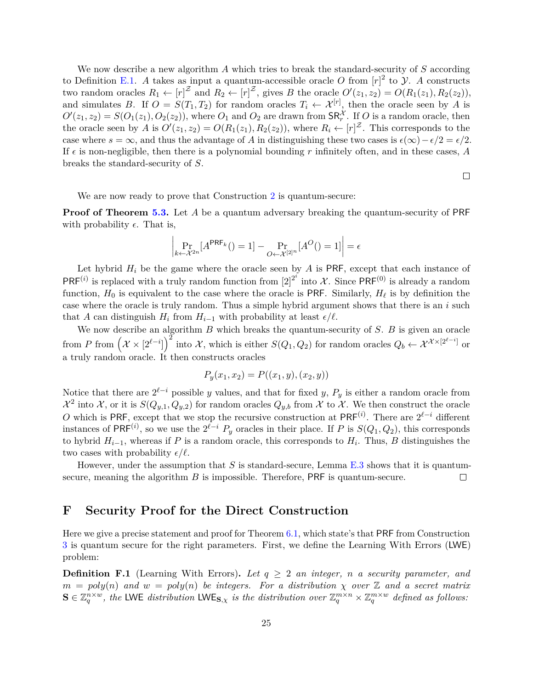We now describe a new algorithm *A* which tries to break the standard-security of *S* according to Definition [E.1.](#page-23-0) *A* takes as input a quantum-accessible oracle *O* from  $[r]^2$  to *Y*. *A* constructs two random oracles  $R_1 \leftarrow [r]^{\mathcal{Z}}$  and  $R_2 \leftarrow [r]^{\mathcal{Z}}$ , gives *B* the oracle  $O'(z_1, z_2) = O(R_1(z_1), R_2(z_2)),$ and simulates *B*. If  $O = S(T_1, T_2)$  for random oracles  $T_i \leftarrow \mathcal{X}^{[r]}$ , then the oracle seen by *A* is  $O'(z_1, z_2) = S(O_1(z_1), O_2(z_2))$ , where  $O_1$  and  $O_2$  are drawn from  $\mathsf{SR}_r^{\mathcal{X}}$ . If *O* is a random oracle, then the oracle seen by *A* is  $O'(z_1, z_2) = O(R_1(z_1), R_2(z_2))$ , where  $R_i \leftarrow [r]^{\mathcal{Z}}$ . This corresponds to the case where  $s = \infty$ , and thus the advantage of *A* in distinguishing these two cases is  $\epsilon(\infty) - \epsilon/2 = \epsilon/2$ . If  $\epsilon$  is non-negligible, then there is a polynomial bounding r infinitely often, and in these cases, A breaks the standard-security of *S*.

 $\Box$ 

We are now ready to prove that Construction [2](#page-8-0) is quantum-secure:

**Proof of Theorem [5.3.](#page-9-1)** Let *A* be a quantum adversary breaking the quantum-security of PRF with probability  $\epsilon$ . That is,

$$
\left| \Pr_{k \leftarrow \mathcal{X}^{2n}} [A^{\mathsf{PRF}_k}(1) = 1] - \Pr_{O \leftarrow \mathcal{X}^{[2]^n}} [A^O(1) = 1] \right| = \epsilon
$$

Let hybrid  $H_i$  be the game where the oracle seen by  $A$  is PRF, except that each instance of  $PRF^{(i)}$  is replaced with a truly random function from  $[2]^{2^i}$  into X. Since  $PRF^{(0)}$  is already a random function,  $H_0$  is equivalent to the case where the oracle is PRF. Similarly,  $H_\ell$  is by definition the case where the oracle is truly random. Thus a simple hybrid argument shows that there is an *i* such that *A* can distinguish  $H_i$  from  $H_{i-1}$  with probability at least  $\epsilon/\ell$ .

We now describe an algorithm *B* which breaks the quantum-security of *S*. *B* is given an oracle from *P* from  $(\mathcal{X} \times [2^{\ell-i}])^2$  into X, which is either  $S(Q_1, Q_2)$  for random oracles  $Q_b \leftarrow \mathcal{X}^{\mathcal{X} \times [2^{\ell-i}]}$  or a truly random oracle. It then constructs oracles

$$
P_y(x_1, x_2) = P((x_1, y), (x_2, y))
$$

Notice that there are  $2^{\ell-i}$  possible *y* values, and that for fixed *y*,  $P_y$  is either a random oracle from  $\mathcal{X}^2$  into  $\mathcal{X}$ , or it is  $S(Q_{y,1}, Q_{y,2})$  for random oracles  $Q_{y,b}$  from  $\mathcal{X}$  to  $\mathcal{X}$ . We then construct the oracle *O* which is PRF, except that we stop the recursive construction at PRF<sup>(*i*)</sup>. There are  $2^{\ell-i}$  different instances of  $PRF^{(i)}$ , so we use the  $2^{\ell-i}$   $P_y$  oracles in their place. If *P* is  $S(Q_1, Q_2)$ , this corresponds to hybrid *Hi*−1, whereas if *P* is a random oracle, this corresponds to *H<sup>i</sup>* . Thus, *B* distinguishes the two cases with probability  $\epsilon/\ell$ .

However, under the assumption that *S* is standard-secure, Lemma [E.3](#page-23-1) shows that it is quantumsecure, meaning the algorithm *B* is impossible. Therefore, PRF is quantum-secure.  $\Box$ 

# <span id="page-24-0"></span>**F Security Proof for the Direct Construction**

Here we give a precise statement and proof for Theorem [6.1,](#page-9-2) which state's that PRF from Construction [3](#page-9-0) is quantum secure for the right parameters. First, we define the Learning With Errors (LWE) problem:

**Definition F.1** (Learning With Errors). Let  $q \geq 2$  an integer, *n* a security parameter, and  $m = poly(n)$  *and*  $w = poly(n)$  *be integers. For a distribution*  $\chi$  *over*  $\mathbb{Z}$  *and a secret matrix*  $\mathbf{S} \in \mathbb{Z}_q^{n \times w}$ , the LWE distribution LWE<sub>S<sub>*,X</sub>* is the distribution over  $\mathbb{Z}_q^{m \times n} \times \mathbb{Z}_q^{m \times w}$  defined as follows:</sub></sub>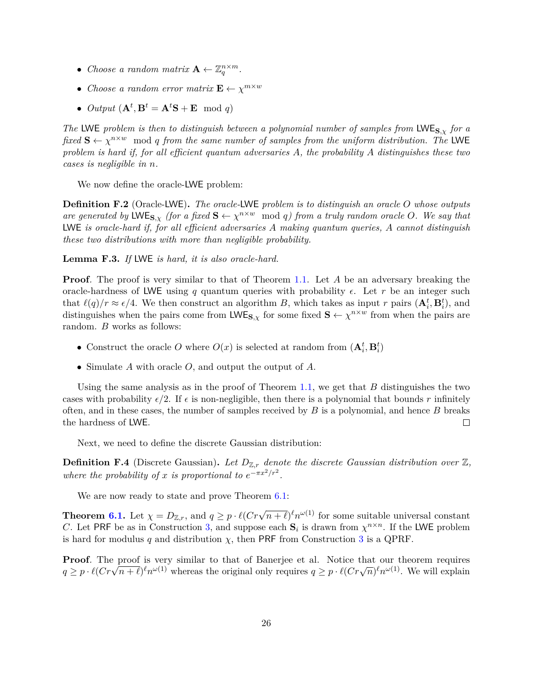- *Choose a random matrix*  $\mathbf{A} \leftarrow \mathbb{Z}_q^{n \times m}$ *.*
- *Choose a random error matrix*  $\mathbf{E} \leftarrow \chi^{m \times w}$
- *Output*  $(\mathbf{A}^t, \mathbf{B}^t = \mathbf{A}^t \mathbf{S} + \mathbf{E} \mod q)$

*The* LWE *problem is then to distinguish between a polynomial number of samples from* LWE**S***,χ for a fixed*  $\mathbf{S} \leftarrow \chi^{n \times w}$  mod *q from the same number of samples from the uniform distribution. The* LWE *problem is hard if, for all efficient quantum adversaries A, the probability A distinguishes these two cases is negligible in n.*

We now define the oracle-LWE problem:

**Definition F.2** (Oracle-LWE)**.** *The oracle-*LWE *problem is to distinguish an oracle O whose outputs are generated by* LWE<sub>S<sub>*,X</sub></sub> (for a fixed*  $S \leftarrow \chi^{n \times w} \mod q$ *) from a truly random oracle O. We say that*</sub></sub> LWE *is oracle-hard if, for all efficient adversaries A making quantum queries, A cannot distinguish these two distributions with more than negligible probability.*

<span id="page-25-0"></span>**Lemma F.3.** *If* LWE *is hard, it is also oracle-hard.*

**Proof**. The proof is very similar to that of Theorem [1.1.](#page-2-0) Let A be an adversary breaking the oracle-hardness of LWE using  $q$  quantum queries with probability  $\epsilon$ . Let  $r$  be an integer such that  $\ell(q)/r \approx \epsilon/4$ . We then construct an algorithm *B*, which takes as input *r* pairs  $(\mathbf{A}_i^t, \mathbf{B}_i^t)$ , and distinguishes when the pairs come from  $LWE_{S,\chi}$  for some fixed  $S \leftarrow \chi^{n \times w}$  from when the pairs are random. *B* works as follows:

- Construct the oracle O where  $O(x)$  is selected at random from  $(\mathbf{A}_i^t, \mathbf{B}_i^t)$
- Simulate *A* with oracle *O*, and output the output of *A*.

Using the same analysis as in the proof of Theorem [1.1,](#page-2-0) we get that *B* distinguishes the two cases with probability  $\epsilon/2$ . If  $\epsilon$  is non-negligible, then there is a polynomial that bounds r infinitely often, and in these cases, the number of samples received by *B* is a polynomial, and hence *B* breaks the hardness of LWE.  $\Box$ 

Next, we need to define the discrete Gaussian distribution:

**Definition F.4** (Discrete Gaussian). Let  $D_{\mathbb{Z},r}$  denote the discrete Gaussian distribution over  $\mathbb{Z},$ *where the probability of x is proportional to*  $e^{-\pi x^2/r^2}$ *.* 

We are now ready to state and prove Theorem  $6.1$ :

**Theorem [6.1.](#page-9-2)** Let  $\chi = D_{\mathbb{Z},r}$ , and  $q \geq p \cdot \ell(Cr\sqrt{n+\ell})^{\ell}n^{\omega(1)}$  for some suitable universal constant *C*. Let PRF be as in Construction [3,](#page-9-0) and suppose each  $S_i$  is drawn from  $\chi^{n \times n}$ . If the LWE problem is hard for modulus q and distribution  $\chi$ , then PRF from Construction [3](#page-9-0) is a QPRF.

**Proof***.* The proof is very similar to that of Banerjee et al. Notice that our theorem requires *Proof.* The proof is very similar to that of Banerjee et al. Notice that our theorem requires  $q \ge p \cdot \ell(Cr\sqrt{n} + \ell)^{\ell}n^{\omega(1)}$  whereas the original only requires  $q \ge p \cdot \ell(Cr\sqrt{n})^{\ell}n^{\omega(1)}$ . We will explain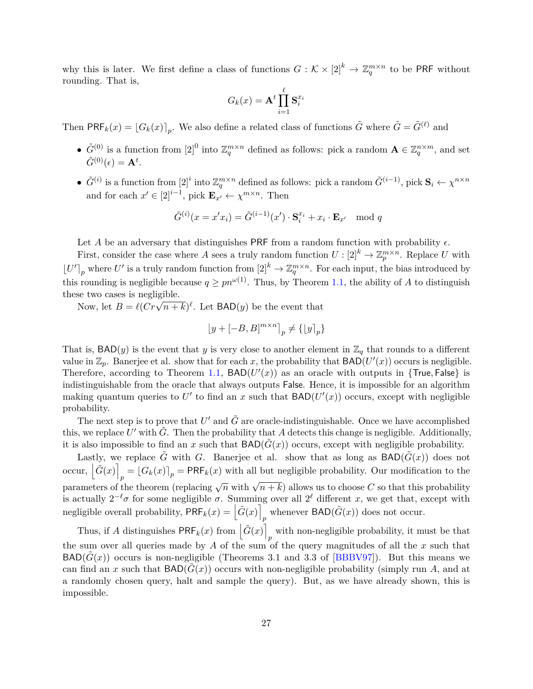why this is later. We first define a class of functions  $G: \mathcal{K} \times [2]^k \to \mathbb{Z}_q^{m \times n}$  to be PRF without rounding. That is,

$$
G_k(x) = \mathbf{A}^t \prod_{i=1}^{\ell} \mathbf{S}_i^{x_i}
$$

Then  $\text{PRF}_k(x) = [G_k(x)]_p$ . We also define a related class of functions  $\tilde{G}$  where  $\tilde{G} = \tilde{G}^{(\ell)}$  and

- $\tilde{G}^{(0)}$  is a function from  $[2]^0$  into  $\mathbb{Z}_q^{m \times n}$  defined as follows: pick a random  $\mathbf{A} \in \mathbb{Z}_q^{n \times m}$ , and set  $\tilde{G}^{(0)}(\epsilon) = \mathbf{A}^t.$
- $\tilde{G}^{(i)}$  is a function from  $[2]^i$  into  $\mathbb{Z}_q^{m \times n}$  defined as follows: pick a random  $\tilde{G}^{(i-1)}$ , pick  $\mathbf{S}_i \leftarrow \chi^{n \times n}$ and for each  $x' \in [2]^{i-1}$ , pick  $\mathbf{E}_{x'} \leftarrow \chi^{m \times n}$ . Then

$$
\tilde{G}^{(i)}(x = x'x_i) = \tilde{G}^{(i-1)}(x') \cdot \mathbf{S}_i^{x_i} + x_i \cdot \mathbf{E}_{x'} \mod q
$$

Let *A* be an adversary that distinguishes PRF from a random function with probability  $\epsilon$ .

First, consider the case where A sees a truly random function  $U: [2]^k \to \mathbb{Z}_p^{m \times n}$ . Replace U with  $\lfloor U' \rfloor_p$  where *U*' is a truly random function from  $[2]^k \to \mathbb{Z}_q^{m \times n}$ . For each input, the bias introduced by this rounding is negligible because  $q \geq pn^{\omega(1)}$ . Thus, by Theorem [1.1,](#page-2-0) the ability of *A* to distinguish these two cases is negligible.

Now, let  $B = \ell(Cr\sqrt{n+k})^{\ell}$ . Let  $BAD(y)$  be the event that

$$
[y + [-B, B]^{m \times n}]_p \neq \{ [y]_p \}
$$

That is,  $BAD(y)$  is the event that *y* is very close to another element in  $\mathbb{Z}_q$  that rounds to a different value in  $\mathbb{Z}_p$ . Banerjee et al. show that for each x, the probability that  $\mathsf{BAD}(U'(x))$  occurs is negligible. Therefore, according to Theorem [1.1,](#page-2-0)  $BAD(U'(x))$  as an oracle with outputs in {True, False} is indistinguishable from the oracle that always outputs False. Hence, it is impossible for an algorithm making quantum queries to  $U'$  to find an  $x$  such that  $\mathsf{BAD}(U'(x))$  occurs, except with negligible probability.

The next step is to prove that  $U'$  and  $\tilde{G}$  are oracle-indistinguishable. Once we have accomplished this, we replace  $U'$  with  $\tilde{G}$ . Then the probability that A detects this change is negligible. Additionally, it is also impossible to find an x such that  $\text{BAD}(\tilde{G}(x))$  occurs, except with negligible probability.

Lastly, we replace *G* with *G*. Banerjee et al. show that as long as  $BAD(G(x))$  does not occur,  $|\tilde{G}(x)|$  $p_p = [G_k(x)]_p = \text{PRF}_k(x)$  with all but negligible probability. Our modification to the parameters of the theorem (replacing  $\sqrt{n}$  with  $\sqrt{n+k}$ ) allows us to choose *C* so that this probability is actually  $2^{-\ell}\sigma$  for some negligible  $\sigma$ . Summing over all  $2^{\ell}$  different *x*, we get that, except with negligible overall probability,  $\mathsf{PRF}_k(x) = \left| \tilde{G}(x) \right|$ whenever  $\textsf{BAD}(\tilde{G}(x))$  does not occur.

Thus, if *A* distinguishes  $\textsf{PRF}_k(x)$  from  $|\tilde{G}(x)|$ with non-negligible probability, it must be that  $p$ the sum over all queries made by  $A$  of the sum of the query magnitudes of all the  $x$  such that  $BAD(G(x))$  occurs is non-negligible (Theorems 3.1 and 3.3 of [\[BBBV97\]](#page-27-3)). But this means we can find an x such that  $\text{BAD}(G(x))$  occurs with non-negligible probability (simply run A, and at a randomly chosen query, halt and sample the query). But, as we have already shown, this is impossible.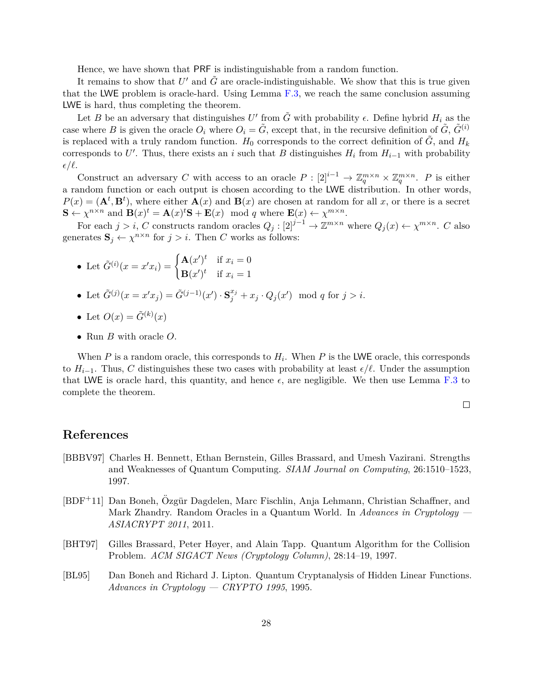Hence, we have shown that PRF is indistinguishable from a random function.

It remains to show that  $U'$  and  $\tilde{G}$  are oracle-indistinguishable. We show that this is true given that the LWE problem is oracle-hard. Using Lemma  $F.3$ , we reach the same conclusion assuming LWE is hard, thus completing the theorem.

Let *B* be an adversary that distinguishes  $U'$  from  $\tilde{G}$  with probability  $\epsilon$ . Define hybrid  $H_i$  as the case where *B* is given the oracle  $O_i$  where  $O_i = \tilde{G}$ , except that, in the recursive definition of  $\tilde{G}$ ,  $\tilde{G}^{(i)}$ is replaced with a truly random function.  $H_0$  corresponds to the correct definition of  $\tilde{G}$ , and  $H_k$ corresponds to  $U'$ . Thus, there exists an *i* such that *B* distinguishes  $H_i$  from  $H_{i-1}$  with probability  $\epsilon/\ell$ .

Construct an adversary *C* with access to an oracle  $P: [2]^{i-1} \to \mathbb{Z}_q^{m \times n} \times \mathbb{Z}_q^{m \times n}$ . *P* is either a random function or each output is chosen according to the LWE distribution. In other words,  $P(x) = (\mathbf{A}^t, \mathbf{B}^t)$ , where either  $\mathbf{A}(x)$  and  $\mathbf{B}(x)$  are chosen at random for all *x*, or there is a secret  $\mathbf{S} \leftarrow \chi^{n \times n}$  and  $\mathbf{B}(x)^t = \mathbf{A}(x)^t \mathbf{S} + \mathbf{E}(x) \mod q$  where  $\mathbf{E}(x) \leftarrow \chi^{m \times n}$ .

For each  $j > i$ , *C* constructs random oracles  $Q_j : [2]^{j-1} \to \mathbb{Z}^{m \times n}$  where  $Q_j(x) \leftarrow \chi^{m \times n}$ . *C* also generates  $\mathbf{S}_j \leftarrow \chi^{n \times n}$  for  $j > i$ . Then *C* works as follows:

- Let  $\tilde{G}^{(i)}(x = x'x_i) = \begin{cases} \mathbf{A}(x')^t & \text{if } x_i = 0 \\ \mathbf{B}(x')^t & \text{if } x_i = 1 \end{cases}$  $\mathbf{B}(x')^t$  if  $x_i = 1$
- Let  $\tilde{G}^{(j)}(x = x'x_j) = \tilde{G}^{(j-1)}(x') \cdot \mathbf{S}_j^{x_j} + x_j \cdot Q_j(x') \mod q$  for  $j > i$ .

• Let 
$$
O(x) = \tilde{G}^{(k)}(x)
$$

• Run *B* with oracle *O*.

When  $P$  is a random oracle, this corresponds to  $H_i$ . When  $P$  is the LWE oracle, this corresponds to  $H_{i-1}$ . Thus, C distinguishes these two cases with probability at least  $\epsilon/\ell$ . Under the assumption that LWE is oracle hard, this quantity, and hence  $\epsilon$ , are negligible. We then use Lemma [F.3](#page-25-0) to complete the theorem.

 $\Box$ 

### **References**

- <span id="page-27-3"></span>[BBBV97] Charles H. Bennett, Ethan Bernstein, Gilles Brassard, and Umesh Vazirani. Strengths and Weaknesses of Quantum Computing. *SIAM Journal on Computing*, 26:1510–1523, 1997.
- <span id="page-27-0"></span> $[BDF+11]$  Dan Boneh, Ozgür Dagdelen, Marc Fischlin, Anja Lehmann, Christian Schaffner, and Mark Zhandry. Random Oracles in a Quantum World. In *Advances in Cryptology — ASIACRYPT 2011*, 2011.
- <span id="page-27-2"></span>[BHT97] Gilles Brassard, Peter Høyer, and Alain Tapp. Quantum Algorithm for the Collision Problem. *ACM SIGACT News (Cryptology Column)*, 28:14–19, 1997.
- <span id="page-27-1"></span>[BL95] Dan Boneh and Richard J. Lipton. Quantum Cryptanalysis of Hidden Linear Functions. *Advances in Cryptology — CRYPTO 1995*, 1995.